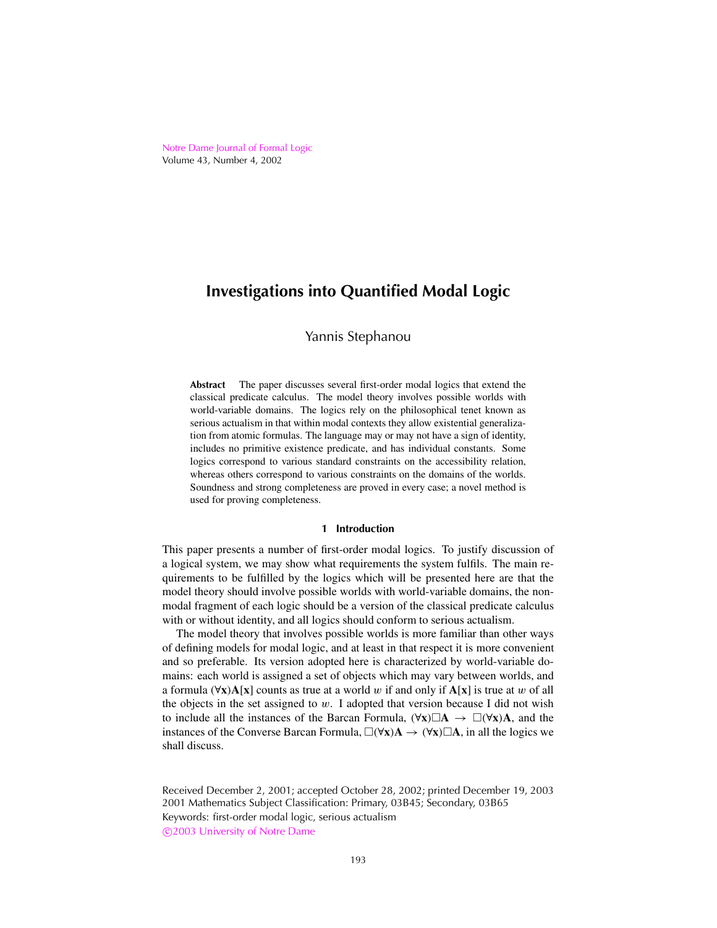Notre Dame [Journal](http://www.nd.edu/~ndjfl) of Formal Logic Volume 43, Number 4, 2002

# **Investigations into Quantified Modal Logic**

# Yannis Stephanou

**Abstract** The paper discusses several first-order modal logics that extend the classical predicate calculus. The model theory involves possible worlds with world-variable domains. The logics rely on the philosophical tenet known as serious actualism in that within modal contexts they allow existential generalization from atomic formulas. The language may or may not have a sign of identity, includes no primitive existence predicate, and has individual constants. Some logics correspond to various standard constraints on the accessibility relation, whereas others correspond to various constraints on the domains of the worlds. Soundness and strong completeness are proved in every case; a novel method is used for proving completeness.

## **1 Introduction**

This paper presents a number of first-order modal logics. To justify discussion of a logical system, we may show what requirements the system fulfils. The main requirements to be fulfilled by the logics which will be presented here are that the model theory should involve possible worlds with world-variable domains, the nonmodal fragment of each logic should be a version of the classical predicate calculus with or without identity, and all logics should conform to serious actualism.

The model theory that involves possible worlds is more familiar than other ways of defining models for modal logic, and at least in that respect it is more convenient and so preferable. Its version adopted here is characterized by world-variable domains: each world is assigned a set of objects which may vary between worlds, and a formula (∀**x**)**A**[**x**] counts as true at a world w if and only if **A**[**x**] is true at w of all the objects in the set assigned to w. I adopted that version because I did not wish to include all the instances of the Barcan Formula,  $(\forall x) \Box A \rightarrow \Box (\forall x) A$ , and the instances of the Converse Barcan Formula,  $\Box(\forall x)A \rightarrow (\forall x)\Box A$ , in all the logics we shall discuss.

Received December 2, 2001; accepted October 28, 2002; printed December 19, 2003 2001 Mathematics Subject Classification: Primary, 03B45; Secondary, 03B65 Keywords: first-order modal logic, serious actualism c 2003 [University](http://www.nd.edu) of Notre Dame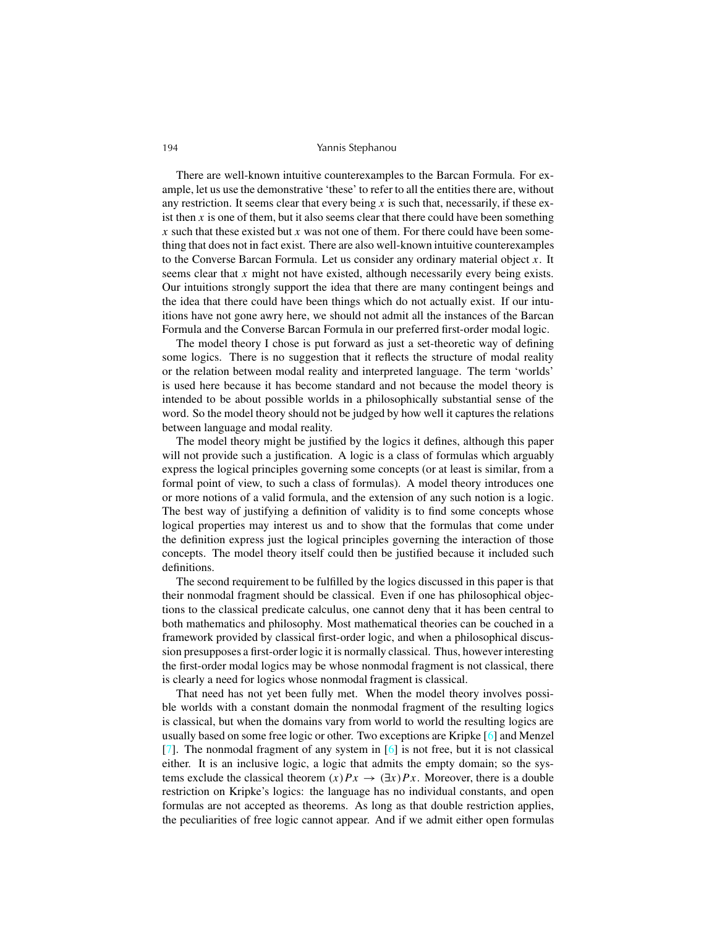There are well-known intuitive counterexamples to the Barcan Formula. For example, let us use the demonstrative 'these' to refer to all the entities there are, without any restriction. It seems clear that every being *x* is such that, necessarily, if these exist then  $x$  is one of them, but it also seems clear that there could have been something *x* such that these existed but *x* was not one of them. For there could have been something that does not in fact exist. There are also well-known intuitive counterexamples to the Converse Barcan Formula. Let us consider any ordinary material object *x*. It seems clear that *x* might not have existed, although necessarily every being exists. Our intuitions strongly support the idea that there are many contingent beings and the idea that there could have been things which do not actually exist. If our intuitions have not gone awry here, we should not admit all the instances of the Barcan Formula and the Converse Barcan Formula in our preferred first-order modal logic.

The model theory I chose is put forward as just a set-theoretic way of defining some logics. There is no suggestion that it reflects the structure of modal reality or the relation between modal reality and interpreted language. The term 'worlds' is used here because it has become standard and not because the model theory is intended to be about possible worlds in a philosophically substantial sense of the word. So the model theory should not be judged by how well it captures the relations between language and modal reality.

The model theory might be justified by the logics it defines, although this paper will not provide such a justification. A logic is a class of formulas which arguably express the logical principles governing some concepts (or at least is similar, from a formal point of view, to such a class of formulas). A model theory introduces one or more notions of a valid formula, and the extension of any such notion is a logic. The best way of justifying a definition of validity is to find some concepts whose logical properties may interest us and to show that the formulas that come under the definition express just the logical principles governing the interaction of those concepts. The model theory itself could then be justified because it included such definitions.

The second requirement to be fulfilled by the logics discussed in this paper is that their nonmodal fragment should be classical. Even if one has philosophical objections to the classical predicate calculus, one cannot deny that it has been central to both mathematics and philosophy. Most mathematical theories can be couched in a framework provided by classical first-order logic, and when a philosophical discussion presupposes a first-order logic it is normally classical. Thus, however interesting the first-order modal logics may be whose nonmodal fragment is not classical, there is clearly a need for logics whose nonmodal fragment is classical.

That need has not yet been fully met. When the model theory involves possible worlds with a constant domain the nonmodal fragment of the resulting logics is classical, but when the domains vary from world to world the resulting logics are usually based on some free logic or other. Two exceptions are Kripke [\[6\]](#page-27-0) and Menzel [\[7\]](#page-27-0). The nonmodal fragment of any system in [\[6\]](#page-27-0) is not free, but it is not classical either. It is an inclusive logic, a logic that admits the empty domain; so the systems exclude the classical theorem  $(x)Px \rightarrow (\exists x)Px$ . Moreover, there is a double restriction on Kripke's logics: the language has no individual constants, and open formulas are not accepted as theorems. As long as that double restriction applies, the peculiarities of free logic cannot appear. And if we admit either open formulas

<span id="page-1-0"></span>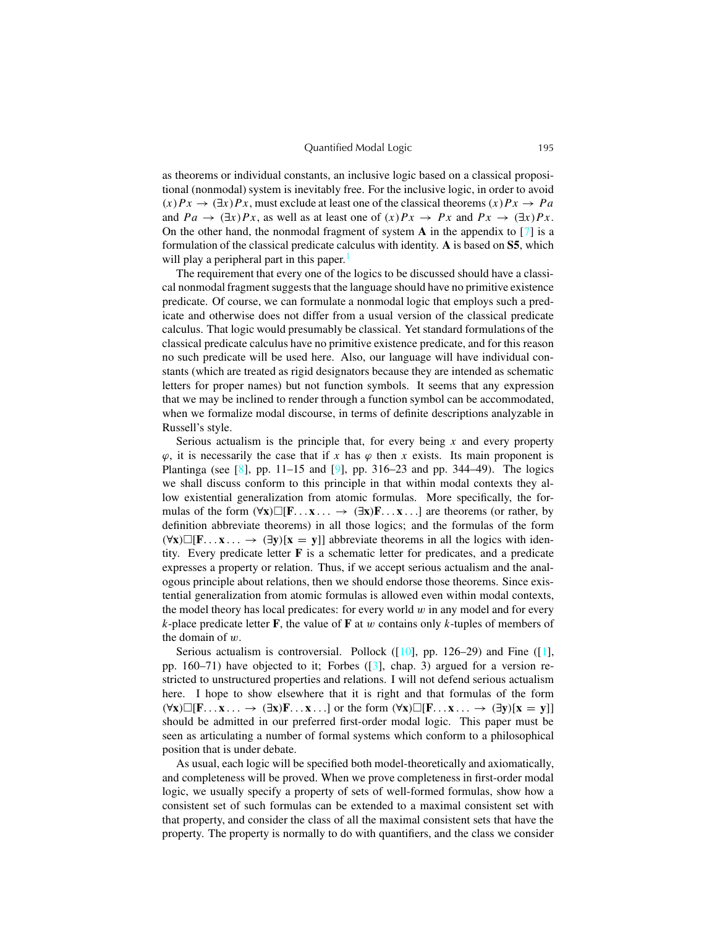#### Quantified Modal Logic **195**

<span id="page-2-0"></span>as theorems or individual constants, an inclusive logic based on a classical propositional (nonmodal) system is inevitably free. For the inclusive logic, in order to avoid  $(x)Px \rightarrow (\exists x)Px$ , must exclude at least one of the classical theorems  $(x)Px \rightarrow Pa$ and  $Pa \rightarrow (\exists x)Px$ , as well as at least one of  $(x)Px \rightarrow Px$  and  $Px \rightarrow (\exists x)Px$ . On the other hand, the nonmodal fragment of system **A** in the appendix to [\[7\]](#page-27-0) is a formulation of the classical predicate calculus with identity. **A** is based on **S5**, which will play a peripheral part in this paper.<sup>[1](#page-25-0)</sup>

The requirement that every one of the logics to be discussed should have a classical nonmodal fragment suggests that the language should have no primitive existence predicate. Of course, we can formulate a nonmodal logic that employs such a predicate and otherwise does not differ from a usual version of the classical predicate calculus. That logic would presumably be classical. Yet standard formulations of the classical predicate calculus have no primitive existence predicate, and for this reason no such predicate will be used here. Also, our language will have individual constants (which are treated as rigid designators because they are intended as schematic letters for proper names) but not function symbols. It seems that any expression that we may be inclined to render through a function symbol can be accommodated, when we formalize modal discourse, in terms of definite descriptions analyzable in Russell's style.

Serious actualism is the principle that, for every being *x* and every property  $\varphi$ , it is necessarily the case that if *x* has  $\varphi$  then *x* exists. Its main proponent is Plantinga (see [\[8\]](#page-27-0), pp. 11–15 and [\[9](#page-27-0)], pp. 316–23 and pp. 344–49). The logics we shall discuss conform to this principle in that within modal contexts they allow existential generalization from atomic formulas. More specifically, the formulas of the form  $(\forall x)$ [**F**...**x**... →  $(\exists x)$ **F**...**x**...] are theorems (or rather, by definition abbreviate theorems) in all those logics; and the formulas of the form  $(\forall x) \Box [F \ldots x \ldots \rightarrow (\exists y) [x = y]]$  abbreviate theorems in all the logics with identity. Every predicate letter **F** is a schematic letter for predicates, and a predicate expresses a property or relation. Thus, if we accept serious actualism and the analogous principle about relations, then we should endorse those theorems. Since existential generalization from atomic formulas is allowed even within modal contexts, the model theory has local predicates: for every world  $w$  in any model and for every *k*-place predicate letter **F**, the value of **F** at w contains only *k*-tuples of members of the domain of  $w$ .

Serious actualism is controversial. Pollock  $([10]$  $([10]$  $([10]$ , pp. 126–29) and Fine  $([1]$  $([1]$ , pp. 160–71) have objected to it; Forbes ([\[3](#page-27-0)], chap. 3) argued for a version restricted to unstructured properties and relations. I will not defend serious actualism here. I hope to show elsewhere that it is right and that formulas of the form  $(\forall x) \Box [F... x \ldots \rightarrow (\exists x) F... x \ldots]$  or the form  $(\forall x) \Box [F... x \ldots \rightarrow (\exists y) [x = y]]$ should be admitted in our preferred first-order modal logic. This paper must be seen as articulating a number of formal systems which conform to a philosophical position that is under debate.

As usual, each logic will be specified both model-theoretically and axiomatically, and completeness will be proved. When we prove completeness in first-order modal logic, we usually specify a property of sets of well-formed formulas, show how a consistent set of such formulas can be extended to a maximal consistent set with that property, and consider the class of all the maximal consistent sets that have the property. The property is normally to do with quantifiers, and the class we consider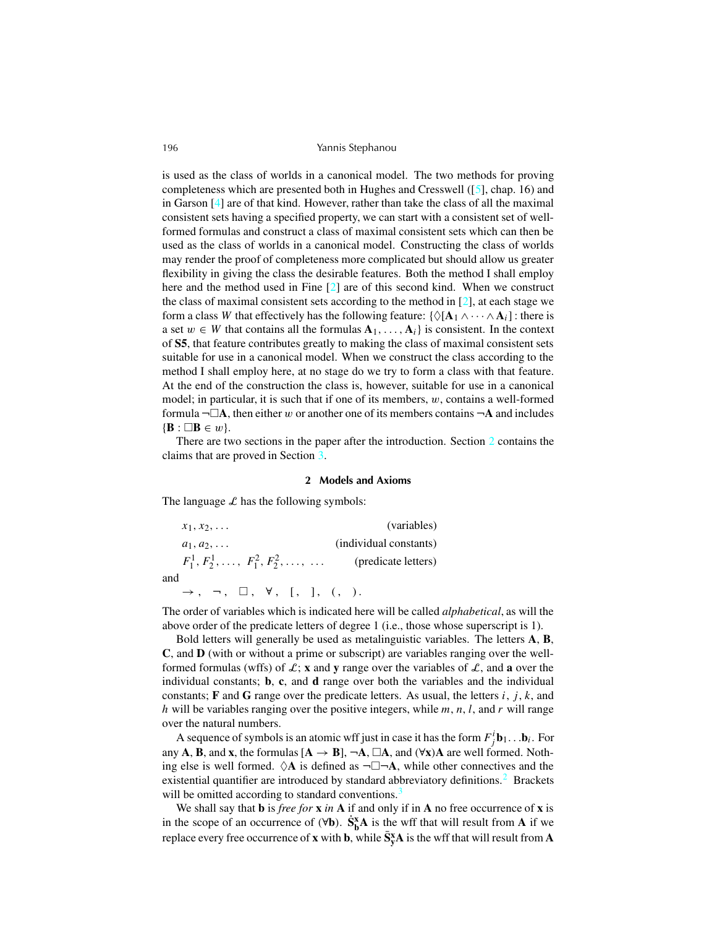<span id="page-3-0"></span>is used as the class of worlds in a canonical model. The two methods for proving completeness which are presented both in Hughes and Cresswell ([\[5](#page-27-0)], chap. 16) and in Garson [\[4](#page-27-0)] are of that kind. However, rather than take the class of all the maximal consistent sets having a specified property, we can start with a consistent set of wellformed formulas and construct a class of maximal consistent sets which can then be used as the class of worlds in a canonical model. Constructing the class of worlds may render the proof of completeness more complicated but should allow us greater flexibility in giving the class the desirable features. Both the method I shall employ here and the method used in Fine [\[2](#page-27-0)] are of this second kind. When we construct the class of maximal consistent sets according to the method in [\[2](#page-27-0)], at each stage we form a class W that effectively has the following feature:  $\{\Diamond [\mathbf{A}_1 \land \cdots \land \mathbf{A}_i] : \text{there is}$ a set  $w \in W$  that contains all the formulas  $A_1, \ldots, A_i$  is consistent. In the context of **S5**, that feature contributes greatly to making the class of maximal consistent sets suitable for use in a canonical model. When we construct the class according to the method I shall employ here, at no stage do we try to form a class with that feature. At the end of the construction the class is, however, suitable for use in a canonical model; in particular, it is such that if one of its members,  $w$ , contains a well-formed formula  $\neg \Box A$ , then either w or another one of its members contains  $\neg A$  and includes  ${B : \Box B \in w}.$ 

There are two sections in the paper after the introduction. Section 2 contains the claims that are proved in Section [3.](#page-8-0)

## **2 Models and Axioms**

The language  $\mathcal L$  has the following symbols:

| (variables)                                                           |  |  |                                                      | $x_1, x_2, \ldots$ |    |
|-----------------------------------------------------------------------|--|--|------------------------------------------------------|--------------------|----|
| (individual constants)                                                |  |  | $a_1, a_2, \ldots$                                   |                    |    |
| (predicate letters)                                                   |  |  | $F_1^1, F_2^1, \ldots, F_1^2, F_2^2, \ldots, \ldots$ |                    |    |
|                                                                       |  |  |                                                      |                    | nd |
| $\rightarrow$ , $\neg$ , $\Box$ , $\forall$ , $[$ , $]$ , $($ , $)$ . |  |  |                                                      |                    |    |

an

The order of variables which is indicated here will be called *alphabetical*, as will the above order of the predicate letters of degree 1 (i.e., those whose superscript is 1).

Bold letters will generally be used as metalinguistic variables. The letters **A**, **B**, **C**, and **D** (with or without a prime or subscript) are variables ranging over the wellformed formulas (wffs) of  $\mathcal{L}$ ; **x** and **y** range over the variables of  $\mathcal{L}$ , and **a** over the individual constants; **b**, **c**, and **d** range over both the variables and the individual constants; **F** and **G** range over the predicate letters. As usual, the letters *i*, *j*, *k*, and *h* will be variables ranging over the positive integers, while *m*, *n*, *l*, and *r* will range over the natural numbers.

A sequence of symbols is an atomic wff just in case it has the form  $F_j^i \mathbf{b}_1 \dots \mathbf{b}_i$ . For any **A**, **B**, and **x**, the formulas  $[A \rightarrow B]$ ,  $\neg A$ ,  $\Box A$ , and  $(\forall x)A$  are well formed. Nothing else is well formed.  $\Diamond A$  is defined as  $\neg \Box \neg A$ , while other connectives and the existential quantifier are introduced by standard abbreviatory definitions.<sup>[2](#page-26-0)</sup> Brackets will be omitted according to standard conventions.

We shall say that **b** is *free for* **x** *in* **A** if and only if in **A** no free occurrence of **x** is in the scope of an occurrence of  $(\forall \mathbf{b})$ .  $\dot{S}_{\mathbf{b}}^{\mathbf{x}} \mathbf{A}$  is the wff that will result from **A** if we replace every free occurrence of **x** with **b**, while  $\bar{S}_y^xA$  is the wff that will result from  $A$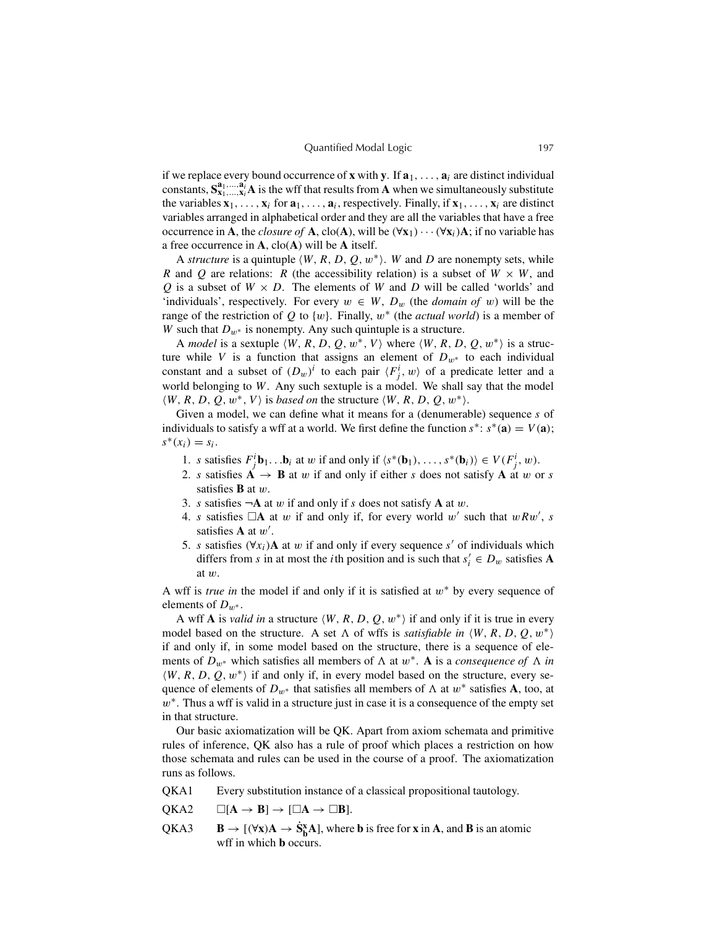if we replace every bound occurrence of **x** with **y**. If  $a_1, \ldots, a_i$  are distinct individual constants,  $S_{x_1,...,x_i}^{a_1,...,a_i}$  A is the wff that results from **A** when we simultaneously substitute the variables  $\mathbf{x}_1, \ldots, \mathbf{x}_i$  for  $\mathbf{a}_1, \ldots, \mathbf{a}_i$ , respectively. Finally, if  $\mathbf{x}_1, \ldots, \mathbf{x}_i$  are distinct variables arranged in alphabetical order and they are all the variables that have a free occurrence in **A**, the *closure of* **A**, clo(**A**), will be  $(\forall x_1) \cdots (\forall x_i)$ **A**; if no variable has a free occurrence in **A**, clo(**A**) will be **A** itself.

A *structure* is a quintuple  $\langle W, R, D, Q, w^* \rangle$ . *W* and *D* are nonempty sets, while *R* and *Q* are relations: *R* (the accessibility relation) is a subset of  $W \times W$ , and *Q* is a subset of  $W \times D$ . The elements of *W* and *D* will be called 'worlds' and 'individuals', respectively. For every  $w \in W$ ,  $D_w$  (the *domain of* w) will be the range of the restriction of  $Q$  to  $\{w\}$ . Finally,  $w^*$  (the *actual world*) is a member of *W* such that  $D_{w^*}$  is nonempty. Any such quintuple is a structure.

A *model* is a sextuple  $\langle W, R, D, Q, w^*, V \rangle$  where  $\langle W, R, D, Q, w^* \rangle$  is a structure while *V* is a function that assigns an element of  $D_{w^*}$  to each individual constant and a subset of  $(D_w)^i$  to each pair  $\langle F_j^i, w \rangle$  of a predicate letter and a world belonging to *W*. Any such sextuple is a model. We shall say that the model  $\langle W, R, D, Q, w^*, V \rangle$  is *based on* the structure  $\langle W, R, D, Q, w^* \rangle$ .

Given a model, we can define what it means for a (denumerable) sequence *s* of individuals to satisfy a wff at a world. We first define the function  $s^*$ :  $s^*(\mathbf{a}) = V(\mathbf{a})$ ;  $s^*(x_i) = s_i$ .

- 1. *s* satisfies  $F_j^i \mathbf{b}_1 \dots \mathbf{b}_i$  at w if and only if  $\langle s^*(\mathbf{b}_1), \dots, s^*(\mathbf{b}_i) \rangle \in V(F_j^i, w)$ .
- 2. *s* satisfies  $\overrightarrow{A} \rightarrow \overrightarrow{B}$  at w if and only if either *s* does not satisfy  $\overrightarrow{A}$  at w or *s* satisfies **B** at w.
- 3. *s* satisfies  $\neg$ **A** at *w* if and only if *s* does not satisfy **A** at *w*.
- 4. *s* satisfies  $\Box$ **A** at w if and only if, for every world w' such that wRw', *s* satisfies  $A$  at  $w'$ .
- 5. *s* satisfies  $(\forall x_i)$ **A** at w if and only if every sequence *s'* of individuals which differs from *s* in at most the *i*th position and is such that  $s_i' \in D_w$  satisfies **A** at w.

A wff is *true in* the model if and only if it is satisfied at w<sup>∗</sup> by every sequence of elements of  $D_{w^*}$ .

A wff **A** is *valid* in a structure  $\langle W, R, D, Q, w^* \rangle$  if and only if it is true in every model based on the structure. A set  $\Lambda$  of wffs is *satisfiable in*  $\langle W, R, D, Q, w^* \rangle$ if and only if, in some model based on the structure, there is a sequence of elements of  $D_{w^*}$  which satisfies all members of  $\Lambda$  at  $w^*$ . A is a *consequence of*  $\Lambda$  *in*  $\langle W, R, D, Q, w^* \rangle$  if and only if, in every model based on the structure, every sequence of elements of  $D_{w^*}$  that satisfies all members of  $\Lambda$  at  $w^*$  satisfies **A**, too, at  $w^*$ . Thus a wff is valid in a structure just in case it is a consequence of the empty set in that structure.

Our basic axiomatization will be QK. Apart from axiom schemata and primitive rules of inference, QK also has a rule of proof which places a restriction on how those schemata and rules can be used in the course of a proof. The axiomatization runs as follows.

- QKA1 Every substitution instance of a classical propositional tautology.
- $QKA2 \qquad \Box[A \rightarrow B] \rightarrow [\Box A \rightarrow \Box B].$
- QKA3  $B \rightarrow [(\forall x)A \rightarrow \dot{S}_b^x A]$ , where **b** is free for **x** in **A**, and **B** is an atomic wff in which **b** occurs.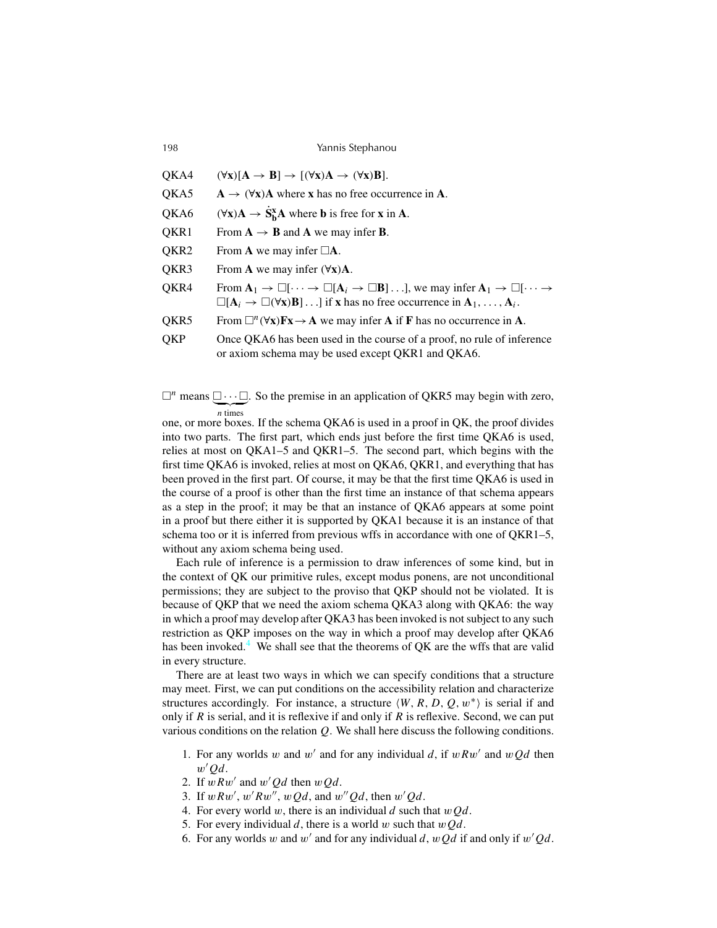| QKA4             | $(\forall x)[A \rightarrow B] \rightarrow [(\forall x)A \rightarrow (\forall x)B].$                                                                                                                               |
|------------------|-------------------------------------------------------------------------------------------------------------------------------------------------------------------------------------------------------------------|
| QKA5             | $A \rightarrow (\forall x)A$ where x has no free occurrence in A.                                                                                                                                                 |
| QKA6             | $(\forall x)$ <b>A</b> $\rightarrow$ <b>S</b> <sup>x</sup> <sub>h</sub> <b>A</b> where <b>b</b> is free for <b>x</b> in <b>A</b> .                                                                                |
| QKR1             | From $A \rightarrow B$ and A we may infer B.                                                                                                                                                                      |
| QKR <sub>2</sub> | From <b>A</b> we may infer $\Box$ <b>A</b> .                                                                                                                                                                      |
| QKR3             | From A we may infer $(\forall x)$ A.                                                                                                                                                                              |
| QKR4             | From $A_1 \to \Box[\cdots \to \Box[A_i \to \Box B] \dots]$ , we may infer $A_1 \to \Box[\cdots \to$<br>$\square [A_i \rightarrow \square (\forall x)B] \dots]$ if x has no free occurrence in $A_1, \dots, A_i$ . |
| QKR5             | From $\Box^n(\forall x)Fx \rightarrow A$ we may infer A if F has no occurrence in A.                                                                                                                              |
| QKP              | Once QKA6 has been used in the course of a proof, no rule of inference<br>or axiom schema may be used except QKR1 and QKA6.                                                                                       |
|                  |                                                                                                                                                                                                                   |

 $\Box^n$  means  $\underline{\Box \cdots \Box}$ . So the premise in an application of QKR5 may begin with zero, *n* times

one, or more boxes. If the schema QKA6 is used in a proof in QK, the proof divides into two parts. The first part, which ends just before the first time QKA6 is used, relies at most on QKA1–5 and QKR1–5. The second part, which begins with the first time QKA6 is invoked, relies at most on QKA6, QKR1, and everything that has been proved in the first part. Of course, it may be that the first time QKA6 is used in the course of a proof is other than the first time an instance of that schema appears as a step in the proof; it may be that an instance of QKA6 appears at some point in a proof but there either it is supported by QKA1 because it is an instance of that schema too or it is inferred from previous wffs in accordance with one of QKR1–5, without any axiom schema being used.

Each rule of inference is a permission to draw inferences of some kind, but in the context of QK our primitive rules, except modus ponens, are not unconditional permissions; they are subject to the proviso that QKP should not be violated. It is because of QKP that we need the axiom schema QKA3 along with QKA6: the way in which a proof may develop after QKA3 has been invoked is not subject to any such restriction as QKP imposes on the way in which a proof may develop after QKA6 has been invoked.<sup>[4](#page-26-0)</sup> We shall see that the theorems of OK are the wffs that are valid in every structure.

There are at least two ways in which we can specify conditions that a structure may meet. First, we can put conditions on the accessibility relation and characterize structures accordingly. For instance, a structure  $\langle W, R, D, Q, w^* \rangle$  is serial if and only if *R* is serial, and it is reflexive if and only if *R* is reflexive. Second, we can put various conditions on the relation *Q*. We shall here discuss the following conditions.

- 1. For any worlds w and w' and for any individual  $d$ , if  $wRw'$  and  $wQd$  then  $w'Qd$ .
- 2. If  $wRw'$  and  $w'Qd$  then  $wQd$ .
- 3. If  $wRw'$ ,  $w'Rw''$ ,  $wQd$ , and  $w''Qd$ , then  $w'Qd$ .
- 4. For every world w, there is an individual *d* such that w*Qd*.
- 5. For every individual *d*, there is a world w such that w*Qd*.
- 6. For any worlds w and w' and for any individual d,  $wQd$  if and only if  $w'Qd$ .

<span id="page-5-0"></span>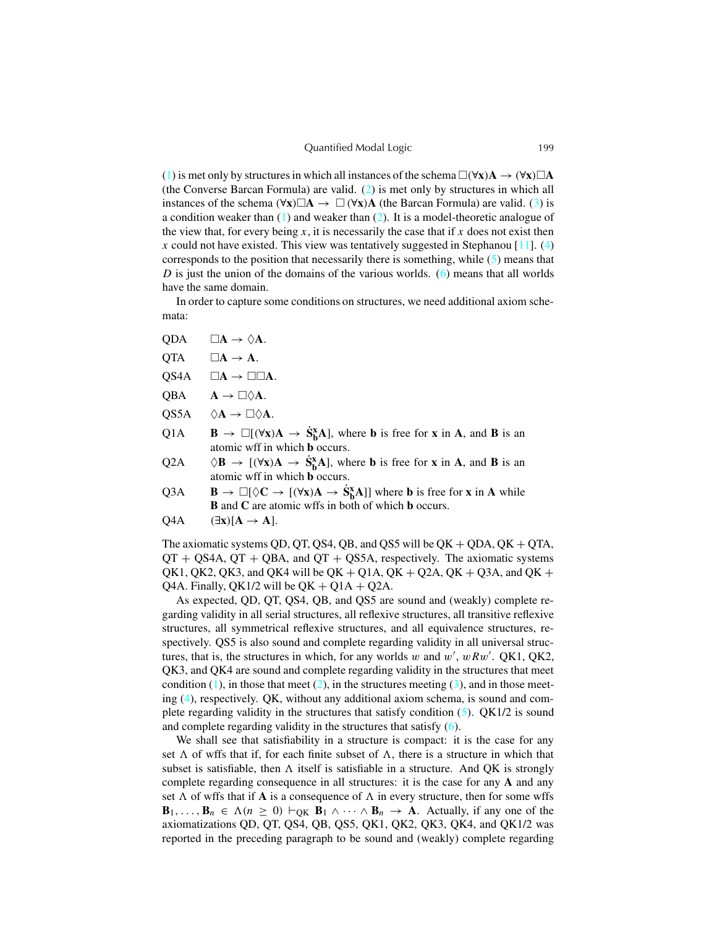<span id="page-6-0"></span>[\(1\)](#page-5-0) is met only by structures in which all instances of the schema  $\Box(\forall x)$ **A** →  $(\forall x) \Box A$ (the Converse Barcan Formula) are valid.  $(2)$  is met only by structures in which all instances of the schema ( $\forall x$ ) $\Box A \rightarrow \Box (\forall x)A$  (the Barcan Formula) are valid. [\(3\)](#page-5-0) is a condition weaker than  $(1)$  and weaker than  $(2)$ . It is a model-theoretic analogue of the view that, for every being  $x$ , it is necessarily the case that if  $x$  does not exist then *x* could not have existed. This view was tentatively suggested in Stephanou [\[11\]](#page-27-0). [\(4\)](#page-5-0) corresponds to the position that necessarily there is something, while [\(5\)](#page-5-0) means that *D* is just the union of the domains of the various worlds. [\(6\)](#page-5-0) means that all worlds have the same domain.

In order to capture some conditions on structures, we need additional axiom schemata:

- $QDA$   $\Box$ **A**  $\rightarrow$   $\Diamond$ **A**.
- QTA  $\Box$ **A**  $\rightarrow$  **A**.
- $\Box A \rightarrow \Box \Box A$ .
- $QBA \tA \rightarrow \Box \Diamond A.$
- $OS5A \quad \Diamond A \rightarrow \Box \Diamond A$ .
- $Q1A$  **B**  $\rightarrow \Box[(\forall x)A \rightarrow \dot{S}_b^xA]$ , where **b** is free for **x** in **A**, and **B** is an atomic wff in which **b** occurs.
- Q2A  $\Diamond$ **B**  $\rightarrow$  [( $\forall$ **x**)**A**  $\rightarrow$  **S**<sup>**x**</sup>**A**], where **b** is free for **x** in **A**, and **B** is an atomic wff in which **b** occurs.
- Q3A **B**  $\rightarrow \Box[\Diamond \mathbf{C} \rightarrow [(\forall \mathbf{x})\mathbf{A} \rightarrow \dot{\mathbf{S}}_{\mathbf{b}}^{\mathbf{x}}\mathbf{A}]]$  where **b** is free for **x** in **A** while **B** and **C** are atomic wffs in both of which **b** occurs.
- Q4A  $(\exists x)[A \rightarrow A].$

The axiomatic systems QD, QT, QS4, QB, and QS5 will be  $QK + QDA$ ,  $QK + QTA$ ,  $QT + QS4A$ ,  $QT + QBA$ , and  $QT + QS5A$ , respectively. The axiomatic systems QK1, QK2, QK3, and QK4 will be  $QK + Q1A$ , QK + Q2A, QK + Q3A, and QK + Q4A. Finally, QK1/2 will be  $QK + Q1A + Q2A$ .

As expected, QD, QT, QS4, QB, and QS5 are sound and (weakly) complete regarding validity in all serial structures, all reflexive structures, all transitive reflexive structures, all symmetrical reflexive structures, and all equivalence structures, respectively. QS5 is also sound and complete regarding validity in all universal structures, that is, the structures in which, for any worlds w and  $w'$ ,  $wRw'$ . QK1, QK2, QK3, and QK4 are sound and complete regarding validity in the structures that meet condition  $(1)$ , in those that meet  $(2)$ , in the structures meeting  $(3)$ , and in those meeting [\(4\)](#page-5-0), respectively. QK, without any additional axiom schema, is sound and complete regarding validity in the structures that satisfy condition  $(5)$ . QK1/2 is sound and complete regarding validity in the structures that satisfy [\(6\)](#page-5-0).

We shall see that satisfiability in a structure is compact: it is the case for any set  $\Lambda$  of wffs that if, for each finite subset of  $\Lambda$ , there is a structure in which that subset is satisfiable, then  $\Lambda$  itself is satisfiable in a structure. And QK is strongly complete regarding consequence in all structures: it is the case for any **A** and any set  $\Lambda$  of wffs that if **A** is a consequence of  $\Lambda$  in every structure, then for some wffs **B**<sub>1</sub>, ..., **B**<sub>*n*</sub> ∈  $\Lambda$ ( $n \ge 0$ )  $\vdash_{\mathbf{QK}} \mathbf{B}_1 \wedge \cdots \wedge \mathbf{B}_n \rightarrow \mathbf{A}$ . Actually, if any one of the axiomatizations QD, QT, QS4, QB, QS5, QK1, QK2, QK3, QK4, and QK1/2 was reported in the preceding paragraph to be sound and (weakly) complete regarding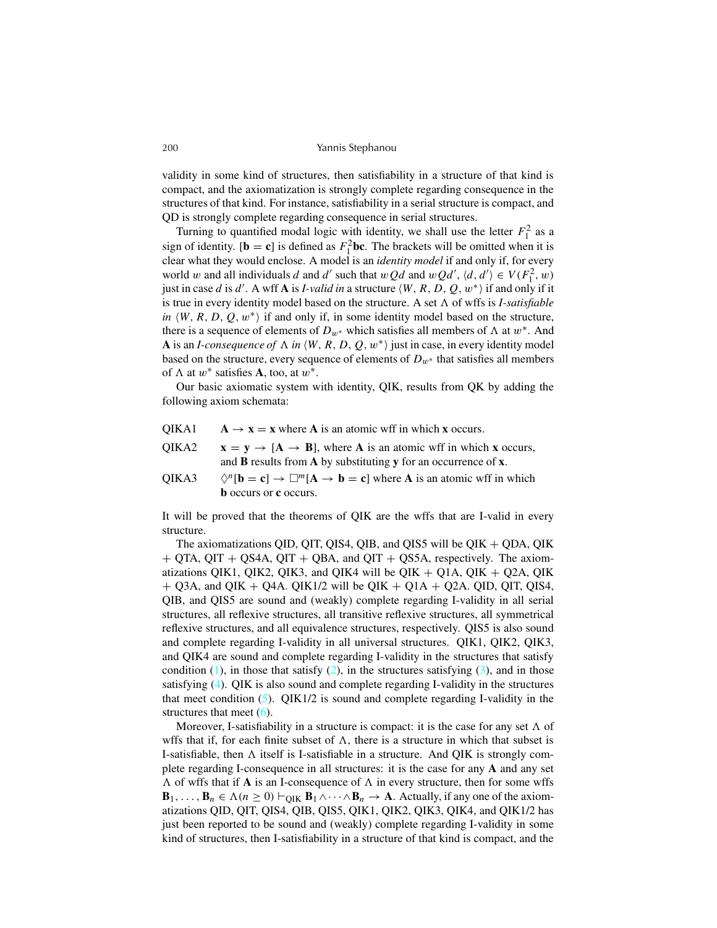validity in some kind of structures, then satisfiability in a structure of that kind is compact, and the axiomatization is strongly complete regarding consequence in the structures of that kind. For instance, satisfiability in a serial structure is compact, and QD is strongly complete regarding consequence in serial structures.

Turning to quantified modal logic with identity, we shall use the letter  $F_1^2$  as a sign of identity.  $[\mathbf{b} = \mathbf{c}]$  is defined as  $F_1^2 \mathbf{b} \mathbf{c}$ . The brackets will be omitted when it is clear what they would enclose. A model is an *identity model* if and only if, for every world w and all individuals *d* and *d'* such that  $wQd$  and  $wQd'$ ,  $\langle d, d' \rangle \in V(F_1^2, w)$ just in case *d* is *d'*. A wff **A** is *I-valid in* a structure  $\langle W, R, D, Q, w^* \rangle$  if and only if it is true in every identity model based on the structure. A set  $\Lambda$  of wffs is *I-satisfiable in*  $\langle W, R, D, Q, w^* \rangle$  if and only if, in some identity model based on the structure, there is a sequence of elements of  $D_{w^*}$  which satisfies all members of  $\Lambda$  at  $w^*$ . And **A** is an *I-consequence of*  $\Lambda$  *in*  $\langle W, R, D, Q, w^* \rangle$  just in case, in every identity model based on the structure, every sequence of elements of  $D_{w^*}$  that satisfies all members of  $\Lambda$  at  $w^*$  satisfies **A**, too, at  $w^*$ .

Our basic axiomatic system with identity, QIK, results from QK by adding the following axiom schemata:

- QIKA1  $A \rightarrow x = x$  where **A** is an atomic wff in which **x** occurs.
- QIKA2  $\mathbf{x} = \mathbf{y} \rightarrow [\mathbf{A} \rightarrow \mathbf{B}]$ , where **A** is an atomic wff in which **x** occurs, and **B** results from **A** by substituting **y** for an occurrence of **x**.
- QIKA3  $n[\mathbf{b} = \mathbf{c}] \rightarrow \Box^{m}[\mathbf{A} \rightarrow \mathbf{b} = \mathbf{c}]$  where **A** is an atomic wff in which **b** occurs or **c** occurs.

It will be proved that the theorems of QIK are the wffs that are I-valid in every structure.

The axiomatizations QID, QIT, QIS4, QIB, and QIS5 will be  $QIK + QDA$ , QIK + QTA, QIT + QS4A, QIT + QBA, and QIT + QS5A, respectively. The axiomatizations QIK1, QIK2, QIK3, and QIK4 will be  $QIK + Q1A$ , QIK +  $Q2A$ , QIK  $+$  Q3A, and QIK  $+$  Q4A. QIK1/2 will be QIK  $+$  Q1A  $+$  Q2A. QID, QIT, QIS4, QIB, and QIS5 are sound and (weakly) complete regarding I-validity in all serial structures, all reflexive structures, all transitive reflexive structures, all symmetrical reflexive structures, and all equivalence structures, respectively. QIS5 is also sound and complete regarding I-validity in all universal structures. QIK1, QIK2, QIK3, and QIK4 are sound and complete regarding I-validity in the structures that satisfy condition  $(1)$ , in those that satisfy  $(2)$ , in the structures satisfying  $(3)$ , and in those satisfying [\(4\)](#page-5-0). QIK is also sound and complete regarding I-validity in the structures that meet condition  $(5)$ . QIK1/2 is sound and complete regarding I-validity in the structures that meet  $(6)$ .

Moreover, I-satisfiability in a structure is compact: it is the case for any set  $\Lambda$  of wffs that if, for each finite subset of  $\Lambda$ , there is a structure in which that subset is I-satisfiable, then  $\Lambda$  itself is I-satisfiable in a structure. And QIK is strongly complete regarding I-consequence in all structures: it is the case for any **A** and any set  $\Lambda$  of wffs that if **A** is an I-consequence of  $\Lambda$  in every structure, then for some wffs **B**<sub>1</sub>, . . . , **B**<sub>*n*</sub> ∈  $\Lambda$ ( $n \ge 0$ )  $\vdash_{\text{OIK}}$  **B**<sub>1</sub>∧· · · ∧**B**<sub>*n*</sub> → **A**. Actually, if any one of the axiomatizations QID, QIT, QIS4, QIB, QIS5, QIK1, QIK2, QIK3, QIK4, and QIK1/2 has just been reported to be sound and (weakly) complete regarding I-validity in some kind of structures, then I-satisfiability in a structure of that kind is compact, and the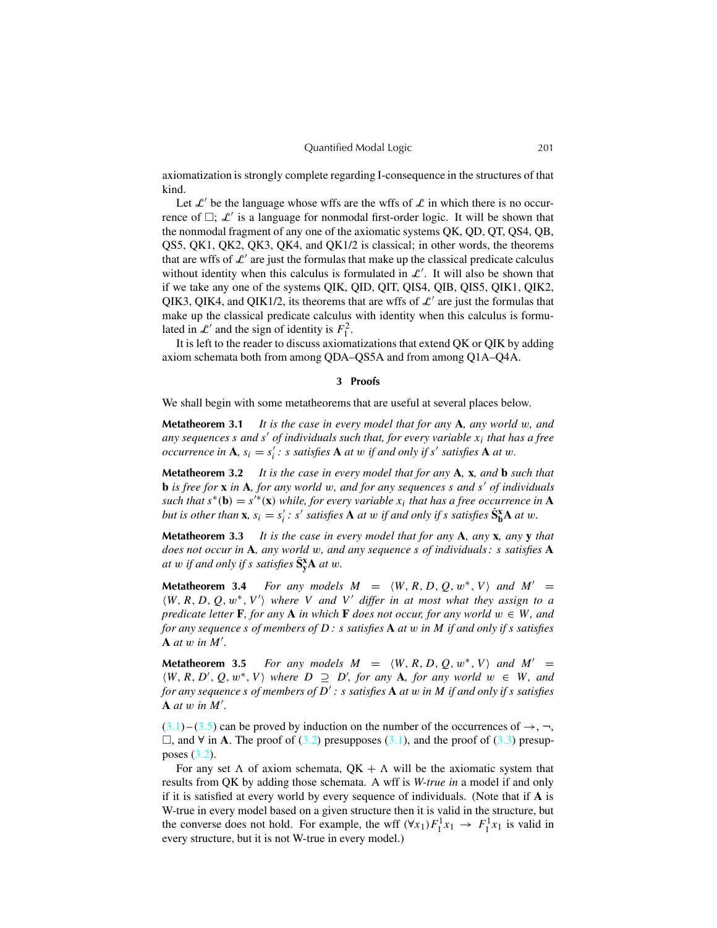<span id="page-8-0"></span>axiomatization is strongly complete regarding I-consequence in the structures of that kind.

Let  $\mathcal{L}'$  be the language whose wffs are the wffs of  $\mathcal{L}$  in which there is no occurrence of  $\Box$ ;  $\mathcal{L}'$  is a language for nonmodal first-order logic. It will be shown that the nonmodal fragment of any one of the axiomatic systems QK, QD, QT, QS4, QB, QS5, QK1, QK2, QK3, QK4, and QK1/2 is classical; in other words, the theorems that are wffs of  $\mathcal{L}'$  are just the formulas that make up the classical predicate calculus without identity when this calculus is formulated in  $\mathcal{L}'$ . It will also be shown that if we take any one of the systems QIK, QID, QIT, QIS4, QIB, QIS5, QIK1, QIK2, QIK3, QIK4, and QIK1/2, its theorems that are wffs of  $\mathcal{L}'$  are just the formulas that make up the classical predicate calculus with identity when this calculus is formulated in  $\mathcal{L}'$  and the sign of identity is  $F_1^2$ .

It is left to the reader to discuss axiomatizations that extend QK or QIK by adding axiom schemata both from among QDA–QS5A and from among Q1A–Q4A.

## **3 Proofs**

We shall begin with some metatheorems that are useful at several places below.

**Metatheorem 3.1** *It is the case in every model that for any* **A***, any world* w*, and any sequences s and s* <sup>0</sup> *of individuals such that, for every variable x<sup>i</sup> that has a free* occurrence in **A**,  $s_i = s'_i$ : *s* satisfies **A** at *w* if and only if *s'* satisfies **A** at *w*.

**Metatheorem 3.2** *It is the case in every model that for any* **A***,* **x***, and* **b** *such that* **b** is free for  $x$  in  $A$ , for any world w, and for any sequences  $s$  and  $s'$  of individuals such that  $s^*(b) = s'^*(x)$  *while, for every variable*  $x_i$  *that has a free occurrence in* **A** but is other than **x**,  $s_i = s'_i$ : s' satisfies **A** at w if and only if s satisfies  $\dot{S}_b^x A$  at w.

**Metatheorem 3.3** *It is the case in every model that for any* **A***, any* **x***, any* **y** *that does not occur in* **A***, any world* w*, and any sequence s of individuals: s satisfies* **A** *at w if and only if s satisfies*  $\bar{S}_{y}^{x}A$  *at w*.

**Metatheorem 3.4** *For any models*  $M = \langle W, R, D, Q, w^*, V \rangle$  *and*  $M' =$  $\langle W, R, D, Q, w^*, V' \rangle$  where *V* and *V'* differ in at most what they assign to a *predicate letter* **F**, *for any* **A** *in which* **F** *does not occur, for any world*  $w \in W$ *, and* for any sequence s of members of  $D$ : s satisfies **A** at w in M if and only if s satisfies  $\bf{A}$  *at*  $\bf{w}$  *in*  $\bf{M}'$ .

**Metatheorem 3.5** *For any models*  $M = \langle W, R, D, Q, w^*, V \rangle$  *and*  $M' =$  $\langle W, R, D', Q, w^*, V \rangle$  where  $D \supseteq D'$ , for any **A**, for any world  $w \in W$ , and for any sequence  $s$  of members of  $D'$  :  $s$  satisfies  ${\bf A}$  at  $w$  in  $M$  if and only if  $s$  satisfies  $\bf{A}$  *at*  $\bf{w}$  *in*  $\bf{M}'$ .

 $(3.1)$  –  $(3.5)$  can be proved by induction on the number of the occurrences of  $\rightarrow$ ,  $\neg$ ,  $\Box$ , and  $\forall$  in **A**. The proof of (3.2) presupposes (3.1), and the proof of (3.3) presupposes (3.2).

For any set  $\Lambda$  of axiom schemata, QK +  $\Lambda$  will be the axiomatic system that results from QK by adding those schemata. A wff is *W-true in* a model if and only if it is satisfied at every world by every sequence of individuals. (Note that if **A** is W-true in every model based on a given structure then it is valid in the structure, but the converse does not hold. For example, the wff  $(\forall x_1) F_1^1 x_1 \rightarrow F_1^1 x_1$  is valid in every structure, but it is not W-true in every model.)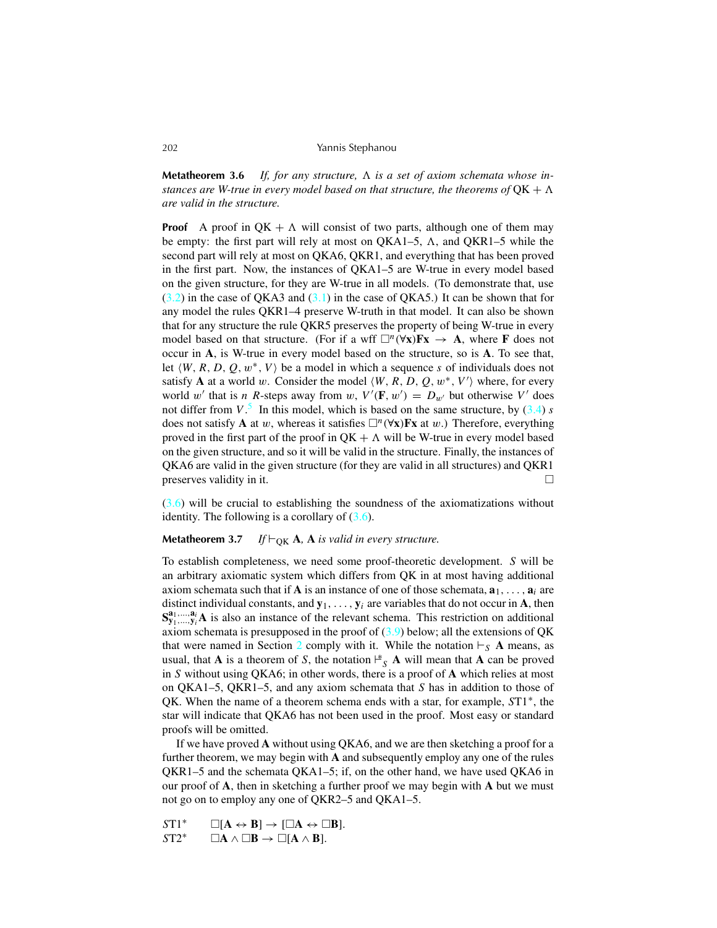<span id="page-9-0"></span>**Metatheorem 3.6** If, for any structure,  $\Lambda$  is a set of axiom schemata whose in*stances are W*-true in every model based on that structure, the theorems of  $\overrightarrow{OK} + \Lambda$ *are valid in the structure.*

**Proof** A proof in QK  $+ \Lambda$  will consist of two parts, although one of them may be empty: the first part will rely at most on QKA1–5,  $\Lambda$ , and QKR1–5 while the second part will rely at most on QKA6, QKR1, and everything that has been proved in the first part. Now, the instances of QKA1–5 are W-true in every model based on the given structure, for they are W-true in all models. (To demonstrate that, use  $(3.2)$  in the case of QKA3 and  $(3.1)$  in the case of QKA5.) It can be shown that for any model the rules QKR1–4 preserve W-truth in that model. It can also be shown that for any structure the rule QKR5 preserves the property of being W-true in every model based on that structure. (For if a wff  $\Box^n(\forall x)Fx \rightarrow A$ , where **F** does not occur in **A**, is W-true in every model based on the structure, so is **A**. To see that, let  $\langle W, R, D, Q, w^*, V \rangle$  be a model in which a sequence *s* of individuals does not satisfy **A** at a world w. Consider the model  $\langle W, R, D, Q, w^*, V' \rangle$  where, for every world w' that is *n R*-steps away from w,  $V'(\mathbf{F}, w') = D_{w'}$  but otherwise V' does not differ from  $V^5$  $V^5$ . In this model, which is based on the same structure, by  $(3.4)$  *s* does not satisfy **A** at w, whereas it satisfies  $\Box^n(\forall x)$  **Fx** at w.) Therefore, everything proved in the first part of the proof in  $QK + \Lambda$  will be W-true in every model based on the given structure, and so it will be valid in the structure. Finally, the instances of QKA6 are valid in the given structure (for they are valid in all structures) and QKR1 preserves validity in it.  $\Box$ 

 $(3.6)$  will be crucial to establishing the soundness of the axiomatizations without identity. The following is a corollary of  $(3.6)$ .

## **Metatheorem** 3.7 *If*  $\vdash_{\mathsf{QK}} \mathbf{A}$ *,*  $\mathbf{A}$  *is valid in every structure.*

To establish completeness, we need some proof-theoretic development. *S* will be an arbitrary axiomatic system which differs from QK in at most having additional axiom schemata such that if **A** is an instance of one of those schemata,  $\mathbf{a}_1, \ldots, \mathbf{a}_i$  are distinct individual constants, and  $y_1, \ldots, y_i$  are variables that do not occur in **A**, then  $S_{y_1,...,y_i}^{a_1,...,a_i}$  is also an instance of the relevant schema. This restriction on additional axiom schemata is presupposed in the proof of  $(3.9)$  below; all the extensions of QK that were named in Section [2](#page-3-0) comply with it. While the notation  $\vdash_S A$  means, as usual, that **A** is a theorem of *S*, the notation  $\vert \cdot \vert^*_{S}$  **A** will mean that **A** can be proved in *S* without using QKA6; in other words, there is a proof of **A** which relies at most on QKA1–5, QKR1–5, and any axiom schemata that *S* has in addition to those of QK. When the name of a theorem schema ends with a star, for example, *S*T1<sup>∗</sup> , the star will indicate that QKA6 has not been used in the proof. Most easy or standard proofs will be omitted.

If we have proved **A** without using QKA6, and we are then sketching a proof for a further theorem, we may begin with **A** and subsequently employ any one of the rules QKR1–5 and the schemata QKA1–5; if, on the other hand, we have used QKA6 in our proof of **A**, then in sketching a further proof we may begin with **A** but we must not go on to employ any one of QKR2–5 and QKA1–5.

$$
ST1^* \qquad \Box[A \leftrightarrow B] \rightarrow [\Box A \leftrightarrow \Box B].
$$

 $ST2^*$   $\Box$ **A**  $\land$   $\Box$ **B**  $\rightarrow$   $\Box$ [**A**  $\land$  **B**].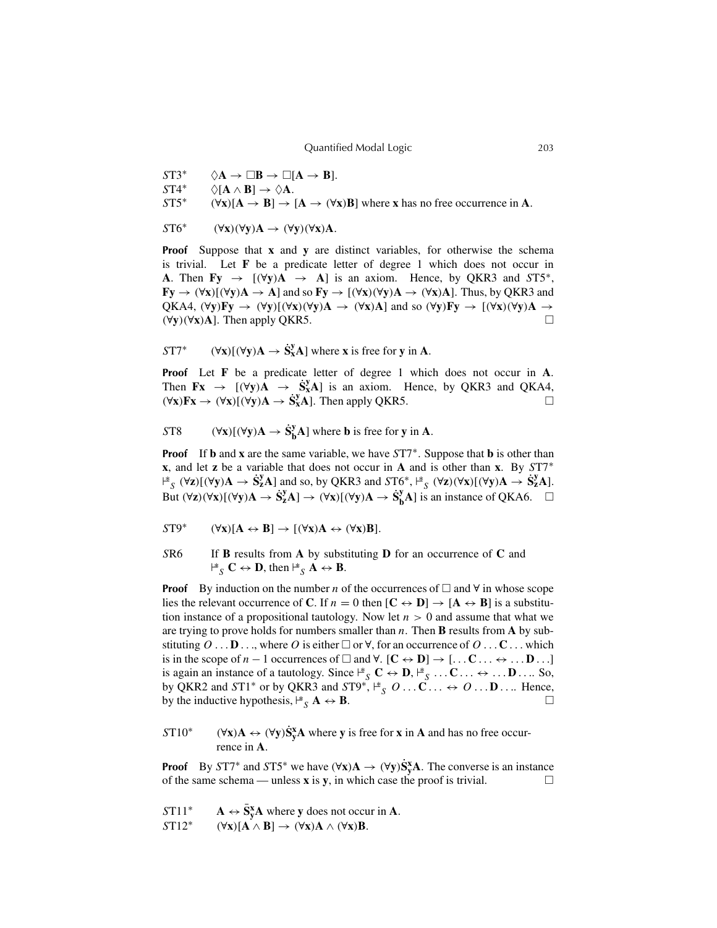- $ST3^*$   $\Diamond$ **A**  $\rightarrow$   $\Box$ **B**  $\rightarrow$   $\Box$ [**A**  $\rightarrow$  **B**].
- $ST4^*$   $\Diamond$   $[$ **A**  $\land$  **B** $]$   $\rightarrow$   $\Diamond$ **A**.
- *S*T5<sup>∗</sup>  $(\forall x)[A \rightarrow B] \rightarrow [A \rightarrow (\forall x)B]$  where **x** has no free occurrence in **A**.
- *S*T6<sup>∗</sup> (∀**x**)(∀**y**)**A** → (∀**y**)(∀**x**)**A**.

**Proof** Suppose that **x** and **y** are distinct variables, for otherwise the schema is trivial. Let **F** be a predicate letter of degree 1 which does not occur in **A**. Then  $\mathbf{Fy} \rightarrow [(\forall y)A \rightarrow A]$  is an axiom. Hence, by QKR3 and *S*T5<sup>\*</sup>,  $\mathbf{Fy} \rightarrow (\forall \mathbf{x})[(\forall \mathbf{y})\mathbf{A} \rightarrow \mathbf{A}]$  and so  $\mathbf{Fy} \rightarrow [(\forall \mathbf{x})(\forall \mathbf{y})\mathbf{A} \rightarrow (\forall \mathbf{x})\mathbf{A}]$ . Thus, by QKR3 and QKA4,  $(\forall y)$ **Fy**  $\rightarrow$   $(\forall y)[(\forall x)(\forall y)A \rightarrow (\forall x)A]$  and so  $(\forall y)$ **Fy**  $\rightarrow$   $[(\forall x)(\forall y)A \rightarrow$ (∀**y**)(∀**x**)**A**]. Then apply QKR5.

$$
ST7^* \qquad (\forall x)[(\forall y)A \rightarrow \dot{S}_x^y A] \text{ where } x \text{ is free for } y \text{ in } A.
$$

**Proof** Let **F** be a predicate letter of degree 1 which does not occur in **A**. Then  $\mathbf{Fx} \rightarrow [(\forall y)\mathbf{A}] \rightarrow [\mathbf{S}_x^y \mathbf{A}]$  is an axiom. Hence, by QKR3 and QKA4,  $(\forall x) \mathbf{Fx} \rightarrow (\forall x) [(\forall y) \mathbf{A} \rightarrow \dot{\mathbf{S}}_x^y \mathbf{A}]$ . Then apply QKR5.

ST8 
$$
(\forall x)[(\forall y)A \rightarrow \dot{S}_{b}^{y}A] \text{ where } b \text{ is free for } y \text{ in } A.
$$

**Proof** If **b** and **x** are the same variable, we have *S*T7<sup>∗</sup> . Suppose that **b** is other than **x**, and let **z** be a variable that does not occur in **A** and is other than **x**. By *S*T7<sup>∗</sup>  $\downarrow$ <sup>\*</sup><sub>*S*</sub> (∀**z**)[(∀**y**)**A** → **S**<sup>*y*</sup><sub>**A**</sub>] and so, by QKR3 and *S*T6<sup>\*</sup>, <sup>†</sup><sub>*S*</sub> (∀**z**)(∀**x**)[(∀**y**)**A** → **S**<sup>*y*</sup><sub>*A*</sub>**A**]. But  $(\forall z)(\forall x)[(\forall y)A \rightarrow \dot{S}_z^y A] \rightarrow (\forall x)[(\forall y)A \rightarrow \dot{S}_b^y A]$  is an instance of QKA6.  $\square$ 

$$
ST9^* \qquad (\forall x)[A \leftrightarrow B] \to [(\forall x)A \leftrightarrow (\forall x)B].
$$

*S*R6 If **B** results from **A** by substituting **D** for an occurrence of **C** and  $\vdash$ <sup>\*</sup><sub>*S*</sub> **C**  $\leftrightarrow$  **D**, then  $\vdash$ <sup>\*</sup><sub>*S*</sub> **A**  $\leftrightarrow$  **B**.

**Proof** By induction on the number *n* of the occurrences of  $\Box$  and  $\forall$  in whose scope lies the relevant occurrence of **C**. If  $n = 0$  then  $[\mathbf{C} \leftrightarrow \mathbf{D}] \rightarrow [\mathbf{A} \leftrightarrow \mathbf{B}]$  is a substitution instance of a propositional tautology. Now let  $n > 0$  and assume that what we are trying to prove holds for numbers smaller than *n*. Then **B** results from **A** by substituting  $O \ldots D \ldots$ , where  $O$  is either  $\Box$  or  $\forall$ , for an occurrence of  $O \ldots C \ldots$  which is in the scope of *n* − 1 occurrences of  $\Box$  and  $\forall$ .  $[\mathbf{C} \leftrightarrow \mathbf{D}] \rightarrow [\dots \mathbf{C} \dots \leftrightarrow \dots \mathbf{D} \dots]$ is again an instance of a tautology. Since  $\downarrow^*_{S} C \leftrightarrow D, \downarrow^*_{S} \ldots C \ldots \leftrightarrow \ldots D \ldots$  So, by QKR2 and  $ST1^*$  or by QKR3 and  $ST9^*, \vdash_S^s O \ldots \check{C} \ldots \leftrightarrow O \ldots \check{D} \ldots$  Hence, by the inductive hypothesis,  $\vert \cdot \vert_{S}^{*} \mathbf{A} \leftrightarrow \mathbf{B}$ .

#### *S*T10<sup>∗</sup>  $(\forall x)$ **A** ↔  $(\forall y)$ **S**<sup>*x*</sup><sub>*x*</sub>**A** where **y** is free for **x** in **A** and has no free occurrence in **A**.

**Proof** By *S*T7<sup>\*</sup> and *S*T5<sup>\*</sup> we have  $(\forall x)A \rightarrow (\forall y)S_x^xA$ . The converse is an instance of the same schema — unless **x** is **y**, in which case the proof is trivial.

 $ST11^*$  **A**  $\leftrightarrow$   $\bar{S}_{y}^{x}A$  where **y** does not occur in **A**. *S*T12<sup>∗</sup>  $(\forall x)[A \wedge B] \rightarrow (\forall x)A \wedge (\forall x)B$ .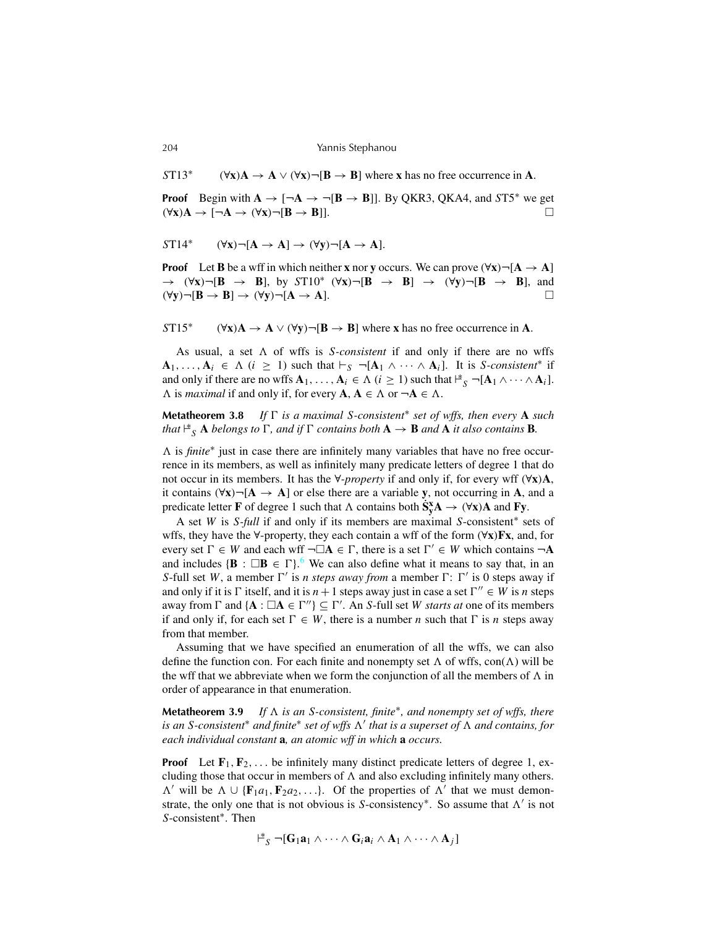*S*T13<sup>∗</sup>  $(\forall x)$ **A**  $\rightarrow$  **A**  $\vee$   $(\forall x)$   $\neg$  [**B**  $\rightarrow$  **B**] where **x** has no free occurrence in **A**.

**Proof** Begin with  $A \rightarrow [\neg A \rightarrow \neg [B \rightarrow B]]$ . By QKR3, QKA4, and ST5<sup>\*</sup> we get  $(\forall x)$ **A** →  $[\neg A \rightarrow (\forall x) \neg [B \rightarrow B]].$ 

$$
ST14^* \qquad (\forall x) \neg [A \to A] \to (\forall y) \neg [A \to A].
$$

**Proof** Let **B** be a wff in which neither **x** nor **y** occurs. We can prove  $(\forall x) \neg [A \rightarrow A]$  $\rightarrow$  ( $\forall$ **x**) $\neg$ [**B**  $\rightarrow$  **B**], by *S*T10<sup>\*</sup> ( $\forall$ **x**) $\neg$ [**B**  $\rightarrow$  **B**]  $\rightarrow$  ( $\forall$ **y**) $\neg$ [**B**  $\rightarrow$  **B**], and (∀**y**)¬[**B** → **B**] → (∀**y**)¬[**A** → **A**].

*S*T15<sup>∗</sup> (∀**x**)**A** → **A** ∨ (∀**y**)¬[**B** → **B**] where **x** has no free occurrence in **A**.

As usual, a set  $\Lambda$  of wffs is *S-consistent* if and only if there are no wffs **A**<sub>1</sub>, ..., **A**<sub>*i*</sub> ∈  $\Lambda$  (*i* ≥ 1) such that  $\vdash_S \neg[A_1 \land \cdots \land A_i]$ . It is *S-consistent*<sup>\*</sup> if and only if there are no wffs  $\mathbf{A}_1, \dots, \mathbf{A}_i \in \Lambda$  ( $i \geq 1$ ) such that  $\mathbb{A}^*_{S} \neg[\mathbf{A}_1 \wedge \dots \wedge \mathbf{A}_i].$  $\Lambda$  is *maximal* if and only if, for every  $\mathbf{A}, \mathbf{A} \in \Lambda$  or  $\neg \mathbf{A} \in \Lambda$ .

**Metatheorem** 3.8 *If*  $\Gamma$  *is a maximal S-consistent<sup>\*</sup> set of wffs, then every* **A** *such that*  $\nvdash$ <sup>\*</sup><sub>S</sub></sub> **A** *belongs to*  $\Gamma$ *, and if*  $\Gamma$  *contains both* **A**  $\rightarrow$  **B** *and* **A** *it also contains* **B***.* 

A is *finite*<sup>\*</sup> just in case there are infinitely many variables that have no free occurrence in its members, as well as infinitely many predicate letters of degree 1 that do not occur in its members. It has the ∀*-property* if and only if, for every wff (∀**x**)**A**, it contains  $(\forall x) \neg [A \rightarrow A]$  or else there are a variable y, not occurring in A, and a predicate letter **F** of degree 1 such that  $\Lambda$  contains both  $\dot{S}_y^x A \rightarrow (\forall x)A$  and **Fy**.

A set *W* is *S-full* if and only if its members are maximal *S*-consistent<sup>∗</sup> sets of wffs, they have the ∀-property, they each contain a wff of the form (∀**x**)**Fx**, and, for every set  $\Gamma \in W$  and each wff  $\neg \Box A \in \Gamma$ , there is a set  $\Gamma' \in W$  which contains  $\neg A$ and includes  ${\bf B} : \Box {\bf B} \in \Gamma$ .<sup>[6](#page-26-0)</sup> We can also define what it means to say that, in an S-full set W, a member  $\Gamma'$  is *n steps away from* a member  $\Gamma$ :  $\Gamma'$  is 0 steps away if and only if it is  $\Gamma$  itself, and it is  $n + 1$  steps away just in case a set  $\Gamma'' \in W$  is *n* steps away from  $\Gamma$  and  $\{A : \Box A \in \Gamma''\} \subseteq \Gamma'$ . An *S*-full set *W starts at* one of its members if and only if, for each set  $\Gamma \in W$ , there is a number *n* such that  $\Gamma$  is *n* steps away from that member.

Assuming that we have specified an enumeration of all the wffs, we can also define the function con. For each finite and nonempty set  $\Lambda$  of wffs, con( $\Lambda$ ) will be the wff that we abbreviate when we form the conjunction of all the members of  $\Lambda$  in order of appearance in that enumeration.

**Metatheorem 3.9** *If* ∆ *is an S-consistent, finite<sup>\*</sup>, and nonempty set of wffs, there is an S-consistent*<sup>∗</sup> *and finite*<sup>∗</sup> *set of wffs* 3<sup>0</sup> *that is a superset of* 3 *and contains, for each individual constant* **a***, an atomic wff in which* **a** *occurs.*

**Proof** Let  $\mathbf{F}_1, \mathbf{F}_2, \ldots$  be infinitely many distinct predicate letters of degree 1, excluding those that occur in members of  $\Lambda$  and also excluding infinitely many others.  $\Lambda'$  will be  $\Lambda \cup {\bf{F}}_1a_1, {\bf{F}}_2a_2, \ldots$ }. Of the properties of  $\Lambda'$  that we must demonstrate, the only one that is not obvious is  $S$ -consistency<sup>\*</sup>. So assume that  $\Lambda'$  is not *S*-consistent<sup>∗</sup> . Then

$$
\vdash_S^{\ast} \neg[\mathbf{G}_1\mathbf{a}_1\wedge\cdots\wedge \mathbf{G}_i\mathbf{a}_i\wedge \mathbf{A}_1\wedge\cdots\wedge \mathbf{A}_j]
$$

<span id="page-11-0"></span>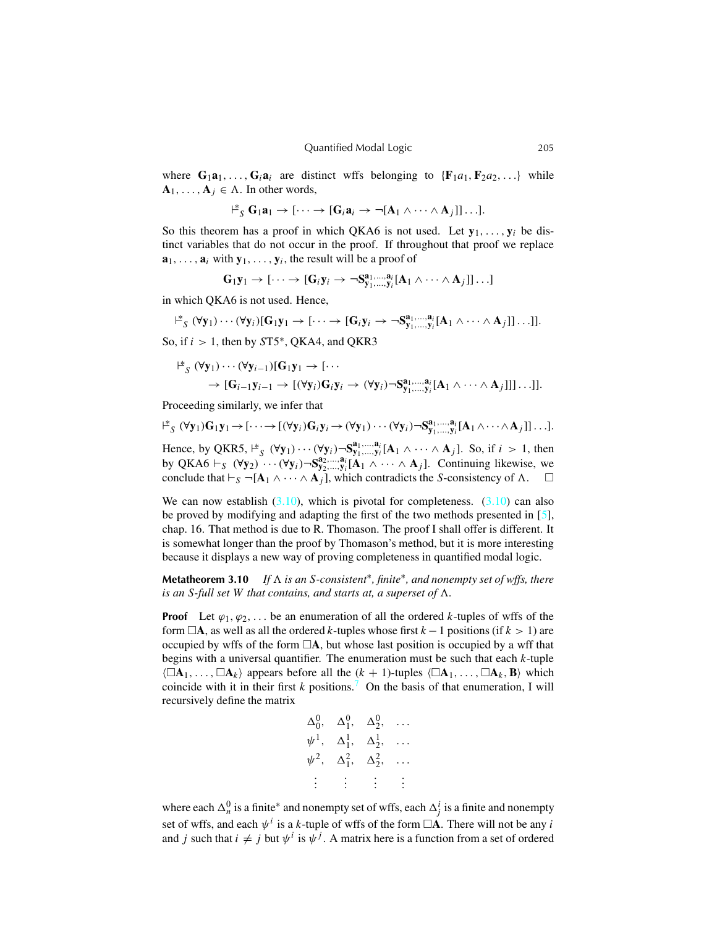<span id="page-12-0"></span>where  $\mathbf{G}_1 \mathbf{a}_1, \ldots, \mathbf{G}_i \mathbf{a}_i$  are distinct wffs belonging to  $\{\mathbf{F}_1 a_1, \mathbf{F}_2 a_2, \ldots\}$  while  $A_1, \ldots, A_j \in \Lambda$ . In other words,

$$
\stackrel{\ast}{\vdash} _S G_1a_1 \to [\cdots \to [G_i a_i \to \neg [A_1 \wedge \cdots \wedge A_j]] \ldots].
$$

So this theorem has a proof in which QKA6 is not used. Let  $y_1, \ldots, y_i$  be distinct variables that do not occur in the proof. If throughout that proof we replace  $\mathbf{a}_1, \ldots, \mathbf{a}_i$  with  $\mathbf{y}_1, \ldots, \mathbf{y}_i$ , the result will be a proof of

$$
G_1y_1 \rightarrow [\cdots \rightarrow [G_iy_i \rightarrow \neg S^{a_1,\ldots,a_i}_{y_1,\ldots,y_i}[A_1 \wedge \cdots \wedge A_j]]\ldots]
$$

in which QKA6 is not used. Hence,

$$
\vdash^\ast_S (\forall y_1) \cdots (\forall y_i)[G_1y_1 \rightarrow [\cdots \rightarrow [G_iy_i \rightarrow \neg S^{a_1,\ldots,a_i}_{y_1,\ldots,y_i}[A_1\wedge \cdots \wedge A_j]]\ldots]].
$$

So, if *i* > 1, then by *S*T5<sup>∗</sup> , QKA4, and QKR3

$$
\begin{aligned}\n\n\stackrel{\ast}{\to} & [\forall y_1) \cdots (\forall y_{i-1}) [\mathbf{G}_1 y_1 \to [\cdots] \\
\to [\mathbf{G}_{i-1} y_{i-1} \to [(\forall y_i) \mathbf{G}_i y_i \to (\forall y_i) \neg \mathbf{S}_{y_1, \dots, y_i}^{a_1, \dots, a_i} [\mathbf{A}_1 \wedge \cdots \wedge \mathbf{A}_j]]] \dots ]].\n\end{aligned}
$$

Proceeding similarly, we infer that

$$
\vdash^{\ast}{}_{S}(\forall y_1)G_1y_1 \rightarrow [\cdots \rightarrow [(\forall y_i)G_iy_i \rightarrow (\forall y_1) \cdots (\forall y_i) \neg S_{y_1,\dots,y_i}^{a_1,\dots,a_i}[A_1 \wedge \cdots \wedge A_j]] \dots].
$$

Hence, by QKR5,  $\not\vdash_S (\forall y_1) \cdots (\forall y_i) \neg S_{y_1,\dots,y_i}^{a_1,\dots,a_i}$ [A<sub>1</sub> ∧ · · · ∧ A<sub>j</sub>]. So, if *i* > 1, then by QKA6  $\vdash_S (\forall y_2) \cdots (\forall y_i) \neg S_{y_2,\dots,y_i}^{a_2,\dots,a_i}$ [A<sub>1</sub>  $\land \cdots \land A_j$ ]. Continuing likewise, we conclude that  $\vdash_S \neg [A_1 \land \cdots \land A_j]$ , which contradicts the *S*-consistency of  $\Lambda$ .  $\Box$ 

We can now establish  $(3.10)$ , which is pivotal for completeness.  $(3.10)$  can also be proved by modifying and adapting the first of the two methods presented in [\[5\]](#page-27-0), chap. 16. That method is due to R. Thomason. The proof I shall offer is different. It is somewhat longer than the proof by Thomason's method, but it is more interesting because it displays a new way of proving completeness in quantified modal logic.

**Metatheorem 3.10** *If*  $\Lambda$  *is an S-consistent<sup>\*</sup>, finite<sup>\*</sup>, and nonempty set of wffs, there is* an S-full set W that contains, and starts at, a superset of  $\Lambda$ .

**Proof** Let  $\varphi_1, \varphi_2, \ldots$  be an enumeration of all the ordered *k*-tuples of wffs of the form  $\Box$ **A**, as well as all the ordered *k*-tuples whose first  $k - 1$  positions (if  $k > 1$ ) are occupied by wffs of the form  $\Box$ **A**, but whose last position is occupied by a wff that begins with a universal quantifier. The enumeration must be such that each *k*-tuple  $\langle \Box A_1, \ldots, \Box A_k \rangle$  appears before all the  $(k + 1)$ -tuples  $\langle \Box A_1, \ldots, \Box A_k, B \rangle$  which coincide with it in their first  $k$  positions.<sup>[7](#page-26-0)</sup> On the basis of that enumeration, I will recursively define the matrix

$$
\Delta_0^0, \quad \Delta_1^0, \quad \Delta_2^0, \quad \dots
$$
  
\n
$$
\psi^1, \quad \Delta_1^1, \quad \Delta_2^1, \quad \dots
$$
  
\n
$$
\psi^2, \quad \Delta_1^2, \quad \Delta_2^2, \quad \dots
$$
  
\n
$$
\vdots \quad \vdots \quad \vdots \quad \vdots
$$

where each  $\Delta_n^0$  is a finite<sup>\*</sup> and nonempty set of wffs, each  $\Delta_j^i$  is a finite and nonempty set of wffs, and each  $\psi^i$  is a *k*-tuple of wffs of the form  $\Box$ **A**. There will not be any *i* and *j* such that  $i \neq j$  but  $\psi^i$  is  $\psi^j$ . A matrix here is a function from a set of ordered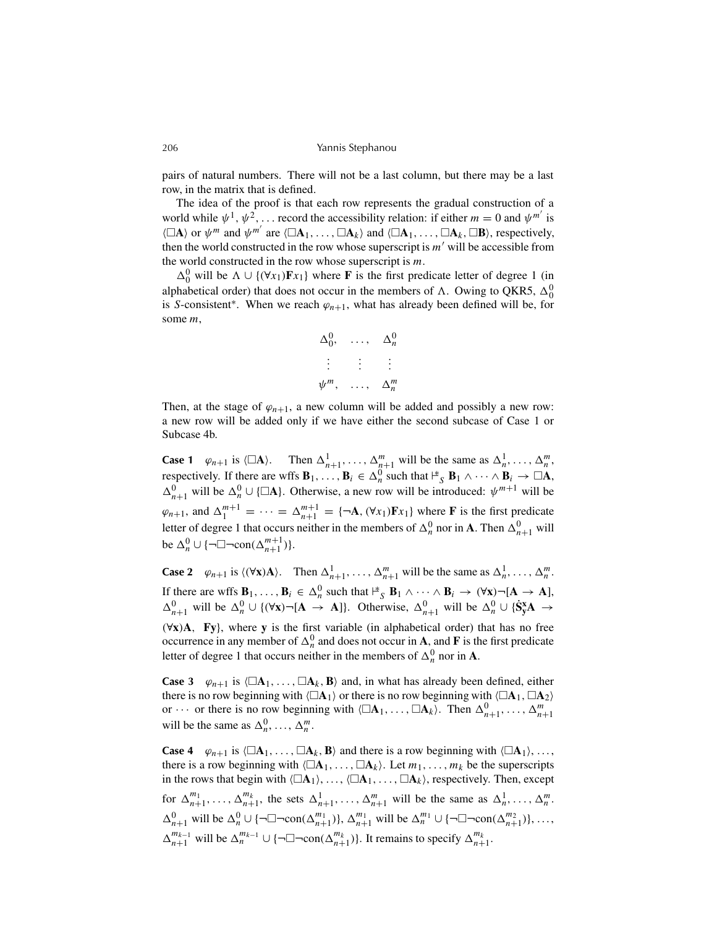pairs of natural numbers. There will not be a last column, but there may be a last row, in the matrix that is defined.

The idea of the proof is that each row represents the gradual construction of a world while  $\psi^1$ ,  $\psi^2$ , ... record the accessibility relation: if either  $m = 0$  and  $\psi^{m'}$  is  $\langle \Box \mathbf{A} \rangle$  or  $\psi^m$  and  $\psi^{m'}$  are  $\langle \Box \mathbf{A}_1, \dots, \Box \mathbf{A}_k \rangle$  and  $\langle \Box \mathbf{A}_1, \dots, \Box \mathbf{A}_k, \Box \mathbf{B} \rangle$ , respectively, then the world constructed in the row whose superscript is  $m'$  will be accessible from the world constructed in the row whose superscript is *m*.

 $\Delta_0^0$  will be  $\Lambda \cup \{(\forall x_1) \mathbf{F} x_1\}$  where **F** is the first predicate letter of degree 1 (in alphabetical order) that does not occur in the members of  $\Lambda$ . Owing to QKR5,  $\Delta_0^0$ is *S*-consistent<sup>\*</sup>. When we reach  $\varphi_{n+1}$ , what has already been defined will be, for some *m*,

$$
\Delta_0^0, \quad \dots, \quad \Delta_n^0
$$
  

$$
\vdots \quad \vdots \quad \vdots
$$
  

$$
\psi^m, \quad \dots, \quad \Delta_n^m
$$

Then, at the stage of  $\varphi_{n+1}$ , a new column will be added and possibly a new row: a new row will be added only if we have either the second subcase of Case 1 or Subcase 4b.

**Case 1**  $\varphi_{n+1}$  is  $\langle \Box A \rangle$ . Then  $\Delta_{n+1}^1, \ldots, \Delta_{n+1}^m$  will be the same as  $\Delta_n^1, \ldots, \Delta_n^m$ , respectively. If there are wffs  $\mathbf{B}_1, \ldots, \mathbf{B}_i \in \Delta_n^0$  such that  $\vdash^*_{S} \mathbf{B}_1 \wedge \cdots \wedge \mathbf{B}_i \to \Box \mathbf{A}$ ,  $\Delta_{n+1}^0$  will be  $\Delta_n^0 \cup \{\Box A\}$ . Otherwise, a new row will be introduced:  $\psi^{m+1}$  will be  $\varphi_{n+1}$ , and  $\Delta_1^{m+1} = \cdots = \Delta_{n+1}^{m+1} = \{\neg \mathbf{A}, (\forall x_1) \mathbf{F} x_1\}$  where **F** is the first predicate letter of degree 1 that occurs neither in the members of  $\Delta_n^0$  nor in **A**. Then  $\Delta_{n+1}^0$  will be  $\Delta_n^0 \cup \{\neg \Box \neg \text{con}(\Delta_{n+1}^{m+1})\}.$ 

**Case 2**  $\varphi_{n+1}$  is  $\langle (\forall \mathbf{x}) \mathbf{A} \rangle$ . Then  $\Delta_{n+1}^1, \ldots, \Delta_{n+1}^m$  will be the same as  $\Delta_n^1, \ldots, \Delta_n^m$ . If there are wffs  $\mathbf{B}_1, \ldots, \mathbf{B}_i \in \Delta_n^0$  such that  $\vdash_S^s \mathbf{B}_1 \wedge \cdots \wedge \mathbf{B}_i \to (\forall \mathbf{x}) \neg [\mathbf{A} \to \mathbf{A}],$  $\Delta_{n+1}^0$  will be  $\Delta_n^0 \cup \{(\forall x) \neg [A \rightarrow A] \}$ . Otherwise,  $\Delta_{n+1}^0$  will be  $\Delta_n^0 \cup {\{\hat{S}_y^xA \rightarrow A} \}$ (∀**x**)**A**, **Fy**}, where **y** is the first variable (in alphabetical order) that has no free occurrence in any member of  $\Delta_n^0$  and does not occur in **A**, and **F** is the first predicate

**Case 3**  $\varphi_{n+1}$  is  $\langle \Box A_1, \ldots, \Box A_k, B \rangle$  and, in what has already been defined, either there is no row beginning with  $\langle \Box A_1 \rangle$  or there is no row beginning with  $\langle \Box A_1, \Box A_2 \rangle$ or  $\cdots$  or there is no row beginning with  $\langle \Box A_1, \ldots, \Box A_k \rangle$ . Then  $\Delta_{n+1}^0, \ldots, \Delta_{n+1}^m$ will be the same as  $\Delta_n^0$ , ...,  $\Delta_n^m$ .

letter of degree 1 that occurs neither in the members of  $\Delta_n^0$  nor in **A**.

**Case 4**  $\varphi_{n+1}$  is  $\langle \Box A_1, \ldots, \Box A_k, \mathbf{B} \rangle$  and there is a row beginning with  $\langle \Box A_1 \rangle, \ldots$ , there is a row beginning with  $\langle \Box A_1, \ldots, \Box A_k \rangle$ . Let  $m_1, \ldots, m_k$  be the superscripts in the rows that begin with  $\langle \Box A_1 \rangle, \ldots, \langle \Box A_1, \ldots, \Box A_k \rangle$ , respectively. Then, except for  $\Delta_{n+1}^{m_1}, \ldots, \Delta_{n+1}^{m_k}$ , the sets  $\Delta_{n+1}^1, \ldots, \Delta_{n+1}^m$  will be the same as  $\Delta_n^1, \ldots, \Delta_n^m$ .  $\Delta_{n+1}^0$  will be  $\Delta_n^0 \cup \{\neg \Box \neg \text{con}(\Delta_{n+1}^{m_1})\}, \Delta_{n+1}^{m_1}$  will be  $\Delta_n^{m_1} \cup \{\neg \Box \neg \text{con}(\Delta_{n+1}^{m_2})\}, \ldots,$  $\Delta_{n+1}^{m_{k-1}}$  will be  $\Delta_n^{m_{k-1}}$  ∪ {¬□¬con( $\Delta_{n+1}^{m_k}$ )}. It remains to specify  $\Delta_{n+1}^{m_k}$ .

<span id="page-13-0"></span>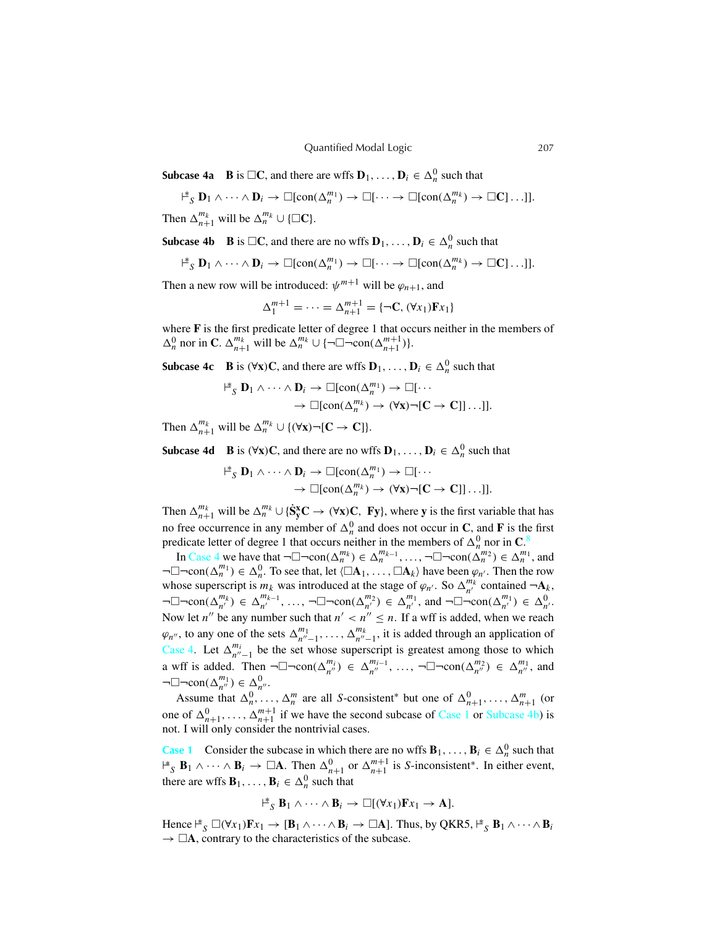<span id="page-14-0"></span>**Subcase 4a B** is  $\Box$ **C**, and there are wffs  $\mathbf{D}_1, \ldots, \mathbf{D}_i \in \Delta_n^0$  such that

$$
\vdash^*_{S} \mathbf{D}_1 \wedge \cdots \wedge \mathbf{D}_i \rightarrow \Box[\text{con}(\Delta_n^{m_1}) \rightarrow \Box[\cdots \rightarrow \Box[\text{con}(\Delta_n^{m_k}) \rightarrow \Box \mathbf{C}] \dots]].
$$

Then  $\Delta_{n+1}^{m_k}$  will be  $\Delta_n^{m_k} \cup {\Box \mathbf{C}}$ .

**Subcase 4b B** is  $\Box$ **C**, and there are no wffs  $\mathbf{D}_1, \ldots, \mathbf{D}_i \in \Delta_n^0$  such that

$$
\vdash_S^s \mathbf{D}_1 \wedge \cdots \wedge \mathbf{D}_i \rightarrow \Box[\text{con}(\Delta_n^{m_1}) \rightarrow \Box[\cdots \rightarrow \Box[\text{con}(\Delta_n^{m_k}) \rightarrow \Box \mathbf{C}] \dots]].
$$

Then a new row will be introduced:  $\psi^{m+1}$  will be  $\varphi_{n+1}$ , and

$$
\Delta_1^{m+1}=\cdots=\Delta_{n+1}^{m+1}=\{\neg \mathbf{C}, (\forall x_1)\mathbf{F}x_1\}
$$

where **F** is the first predicate letter of degree 1 that occurs neither in the members of  $\Delta_n^0$  nor in **C**.  $\Delta_{n+1}^{m_k}$  will be  $\Delta_n^{m_k} \cup \{\neg \Box \neg \text{con}(\Delta_{n+1}^{m+1})\}.$ 

**Subcase 4c B** is  $(\forall x)C$ , and there are wffs  $D_1, \ldots, D_i \in \Delta_n^0$  such that

$$
\vdash_S^* \mathbf{D}_1 \wedge \cdots \wedge \mathbf{D}_i \rightarrow \Box[\text{con}(\Delta_n^{m_1}) \rightarrow \Box[\cdots
$$

$$
\rightarrow \Box[\text{con}(\Delta_n^{m_k}) \rightarrow (\forall \mathbf{x})\neg[\mathbf{C} \rightarrow \mathbf{C}]]\dots]].
$$

Then  $\Delta_{n+1}^{m_k}$  will be  $\Delta_n^{m_k} \cup \{ (\forall \mathbf{x}) \neg [\mathbf{C} \to \mathbf{C}]\}.$ 

**Subcase 4d B** is  $(\forall x)C$ , and there are no wffs  $D_1, \ldots, D_i \in \Delta_n^0$  such that

$$
\vdash_S^* \mathbf{D}_1 \wedge \cdots \wedge \mathbf{D}_i \rightarrow \Box[\text{con}(\Delta_n^{m_1}) \rightarrow \Box[\cdots
$$

$$
\rightarrow \Box[\text{con}(\Delta_n^{m_k}) \rightarrow (\forall \mathbf{x})\neg[\mathbf{C} \rightarrow \mathbf{C}]]\dots]].
$$

Then  $\Delta_{n+1}^{m_k}$  will be  $\Delta_n^{m_k} \cup {\{\mathbf{\dot{S}_y^xC} \rightarrow (\forall \mathbf{x})C, \mathbf{F}\mathbf{y}\}}$ , where **y** is the first variable that has no free occurrence in any member of  $\Delta_n^0$  and does not occur in **C**, and **F** is the first predicate letter of degree 1 that occurs neither in the members of  $\Delta_n^0$  nor in  $\mathbb{C}^8$  $\mathbb{C}^8$ .

In [Case](#page-13-0) 4 we have that  $\neg \Box \neg \text{con}(\Delta_n^{m_k}) \in \Delta_n^{m_{k-1}}, \dots, \neg \Box \neg \text{con}(\Delta_n^{m_2}) \in \Delta_n^{m_1}$ , and  $\neg \Box \neg \text{con}(\Delta_n^{m_1}) \in \Delta_n^0$ . To see that, let  $\langle \Box A_1, \ldots, \Box A_k \rangle$  have been  $\varphi_{n'}$ . Then the row whose superscript is  $m_k$  was introduced at the stage of  $\varphi_{n'}$ . So  $\Delta_{n'}^{m_k}$  contained  $\neg A_k$ ,  $\neg\Box\neg\text{con}(\Delta^{m_k}_{n'}) \in \Delta^{m_{k-1}}_{n'}, \dots, \neg\Box\neg\text{con}(\Delta^{m_2}_{n'}) \in \Delta^{m_1}_{n'}, \text{ and } \neg\Box\neg\text{con}(\Delta^{m_1}_{n'}) \in \Delta^0_{n'}.$ Now let *n*<sup>*n*</sup> be any number such that  $n' < n'' \le n$ . If a wff is added, when we reach  $\varphi_{n''}$ , to any one of the sets  $\Delta_{n''-1}^{m_1}, \ldots, \Delta_{n''-1}^{m_k}$ , it is added through an application of [Case](#page-13-0) 4. Let  $\Delta_{n''-1}^{m_i}$  be the set whose superscript is greatest among those to which a wff is added. Then  $\neg \Box \neg \text{con}(\Delta_{n''}^{m_i}) \in \Delta_{n''}^{m_{i-1}}, \dots, \neg \Box \neg \text{con}(\Delta_{n''}^{m_2}) \in \Delta_{n''}^{m_1}$ , and  $\neg \Box \neg \text{con}(\Delta^{m_1}_{n''}) \in \Delta^0_{n''}.$ 

Assume that  $\Delta_n^0, \ldots, \Delta_n^m$  are all *S*-consistent<sup>\*</sup> but one of  $\Delta_{n+1}^0, \ldots, \Delta_{n+1}^m$  (or one of  $\Delta_{n+1}^0, \ldots, \Delta_{n+1}^{m+1}$  if we have the second subcase of [Case](#page-13-0) 1 or Subcase 4b) is not. I will only consider the nontrivial cases.

**[Case](#page-13-0) 1** Consider the subcase in which there are no wffs  $\mathbf{B}_1, \ldots, \mathbf{B}_i \in \Delta_n^0$  such that  $\downarrow$ <sup>\*</sup><sub>*S*</sub> **B**<sub>1</sub> ∧ · · · ∧ **B**<sub>*i*</sub> → □**A**. Then  $\Delta_{n+1}^{0}$  or  $\Delta_{n+1}^{m+1}$  is *S*-inconsistent<sup>\*</sup>. In either event, there are wffs  $\mathbf{B}_1, \ldots, \mathbf{B}_i \in \Delta_n^0$  such that

$$
\vdash_S^* \mathbf{B}_1 \wedge \cdots \wedge \mathbf{B}_i \rightarrow \Box[(\forall x_1)\mathbf{F}x_1 \rightarrow \mathbf{A}].
$$

 $Hence \not\vdash_S^s \Box(\forall x_1) \mathbf{F} x_1 \rightarrow [\mathbf{B}_1 \wedge \cdots \wedge \mathbf{B}_i \rightarrow \Box \mathbf{A}].$  Thus, by QKR5,  $\vdash_S^s \mathbf{B}_1 \wedge \cdots \wedge \mathbf{B}_i$  $\rightarrow \Box A$ , contrary to the characteristics of the subcase.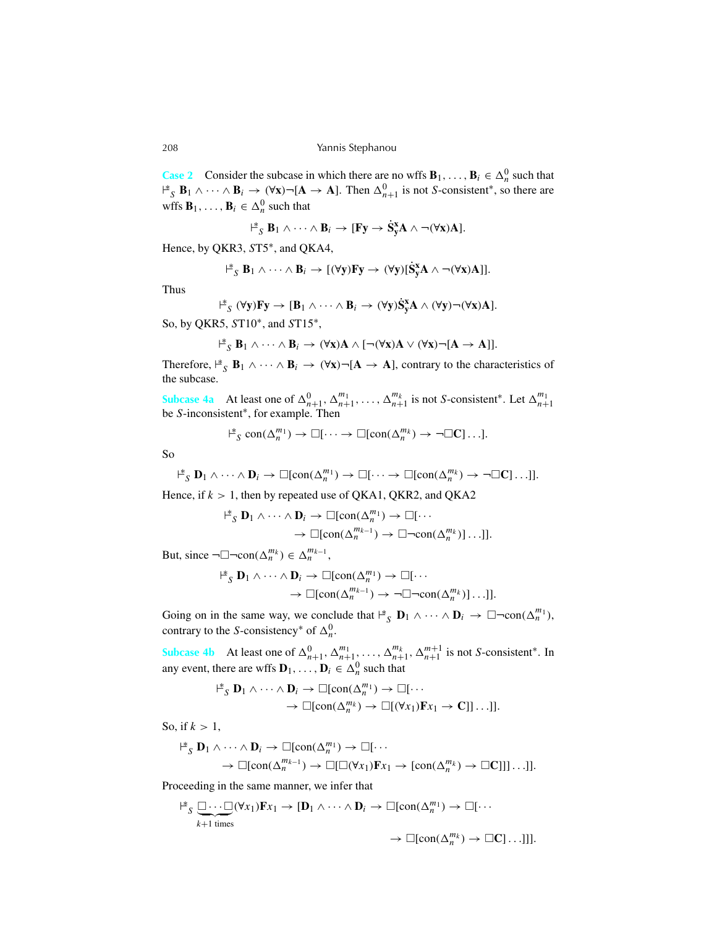**[Case](#page-13-0)** 2 Consider the subcase in which there are no wffs  $\mathbf{B}_1, \ldots, \mathbf{B}_i \in \Delta_n^0$  such that  $\downarrow$ <sup>\*</sup><sub>*S*</sub> **B**<sub>1</sub> ∧ · · · ∧ **B***i* → (∀**x**)¬[**A** → **A**]. Then  $\Delta_{n+1}^0$  is not *S*-consistent<sup>\*</sup>, so there are wffs **B**<sub>1</sub>, ..., **B**<sub>*i*</sub>  $\in \Delta_n^0$  such that

$$
\vdash_S^s \mathbf{B}_1 \wedge \cdots \wedge \mathbf{B}_i \rightarrow [\mathbf{F}\mathbf{y} \rightarrow \dot{\mathbf{S}}\mathbf{y}^{\mathbf{x}}\mathbf{A} \wedge \neg(\forall \mathbf{x})\mathbf{A}].
$$

Hence, by QKR3, *S*T5<sup>\*</sup>, and QKA4,

$$
\vdash_S^* B_1 \wedge \cdots \wedge B_i \rightarrow [(\forall y) Fy \rightarrow (\forall y)[\dot{S}_y^x A \wedge \neg (\forall x)A]].
$$

Thus

$$
f^*_{S} (\forall y) F y \to [B_1 \wedge \cdots \wedge B_i \to (\forall y) S_y^x A \wedge (\forall y) \neg (\forall x) A].
$$

So, by QKR5, *S*T10<sup>∗</sup> , and *S*T15<sup>∗</sup> ,

$$
\vdash^*_{S} B_1 \wedge \cdots \wedge B_i \rightarrow (\forall x)A \wedge [\neg(\forall x)A \vee (\forall x)\neg[A \rightarrow A]].
$$

Therefore,  $\vert \cdot \vert$ <sup>\*</sup><sub>*S*</sub> **B**<sub>1</sub>  $\wedge \cdots \wedge$ **B***i*  $\rightarrow (\forall x) \neg [A \rightarrow A]$ , contrary to the characteristics of the subcase.

Subcase 4a At least one of  $\Delta_{n+1}^0$ ,  $\Delta_{n+1}^{m_1}$ , ...,  $\Delta_{n+1}^{m_k}$  is not *S*-consistent<sup>\*</sup>. Let  $\Delta_{n+1}^{m_1}$ be *S*-inconsistent<sup>∗</sup> , for example. Then

$$
\nvdash_S^s \text{con}(\Delta_n^{m_1}) \to \square[\cdots \to \square[\text{con}(\Delta_n^{m_k}) \to \neg \square \mathbf{C}]\dots].
$$

So

$$
\vdash^*_{S} \mathbf{D}_1 \wedge \cdots \wedge \mathbf{D}_i \rightarrow \Box[\text{con}(\Delta_n^{m_1}) \rightarrow \Box[\cdots \rightarrow \Box[\text{con}(\Delta_n^{m_k}) \rightarrow \neg \Box \mathbf{C}] \dots]].
$$

Hence, if  $k > 1$ , then by repeated use of QKA1, QKR2, and QKA2

$$
\vdash_S^* \mathbf{D}_1 \wedge \cdots \wedge \mathbf{D}_i \to \Box[\text{con}(\Delta_n^{m_1}) \to \Box[\cdots
$$

$$
\to \Box[\text{con}(\Delta_n^{m_{k-1}}) \to \Box \neg \text{con}(\Delta_n^{m_k})] \dots]].
$$

But, since  $\neg \Box \neg \text{con}(\Delta_n^{m_k}) \in \Delta_n^{m_{k-1}},$ 

$$
\begin{aligned} \n\stackrel{*}{\to} \mathbf{D}_1 \wedge \dots \wedge \mathbf{D}_i \to \Box[\text{con}(\Delta_n^{m_1}) \to \Box[\dots] \\ \n\to \Box[\text{con}(\Delta_n^{m_{k-1}}) \to \neg \Box \neg \text{con}(\Delta_n^{m_k})] \dots]]. \n\end{aligned}
$$

Going on in the same way, we conclude that  $\vdash_S^s \mathbf{D}_1 \wedge \cdots \wedge \mathbf{D}_i \rightarrow \Box \neg \text{con}(\Delta_n^{m_1}),$ contrary to the *S*-consistency<sup>\*</sup> of  $\Delta_n^0$ .

**[Subcase](#page-14-0)** 4b At least one of  $\Delta_{n+1}^0$ ,  $\Delta_{n+1}^{m_1}$ , ...,  $\Delta_{n+1}^{m_k}$ ,  $\Delta_{n+1}^{m+1}$  is not *S*-consistent<sup>\*</sup>. In any event, there are wffs  $\mathbf{D}_1, \ldots, \mathbf{D}_i \in \Delta_n^0$  such that

$$
\vdash_{S}^{*} \mathbf{D}_{1} \wedge \cdots \wedge \mathbf{D}_{i} \rightarrow \Box[\text{con}(\Delta_{n}^{m_{1}}) \rightarrow \Box[\cdots
$$

$$
\rightarrow \Box[\text{con}(\Delta_{n}^{m_{k}}) \rightarrow \Box[(\forall x_{1})\mathbf{F}x_{1} \rightarrow \mathbf{C}]]\dots]].
$$

So, if  $k > 1$ ,

$$
\vdash_S^* \mathbf{D}_1 \wedge \cdots \wedge \mathbf{D}_i \to \Box[\text{con}(\Delta_n^{m_1}) \to \Box[\cdots \wedge \Delta_n^{m_k}] \to \Box[\Box(\forall x_1) \mathbf{F} x_1 \to [\text{con}(\Delta_n^{m_k}) \to \Box \mathbf{C}]]] \dots]].
$$

Proceeding in the same manner, we infer that

$$
\begin{aligned} \n\sharp_{S} \underbrace{\Box \cdots \Box}_{k+1 \text{ times}} (\forall x_1) \mathbf{F} x_1 \to [\mathbf{D}_1 \wedge \cdots \wedge \mathbf{D}_i \to \Box[\text{con}(\Delta_n^{m_1}) \to \Box[\cdots] \\ \n\to \Box[\text{con}(\Delta_n^{m_k}) \to \Box \mathbf{C}] \dots]]]. \n\end{aligned}
$$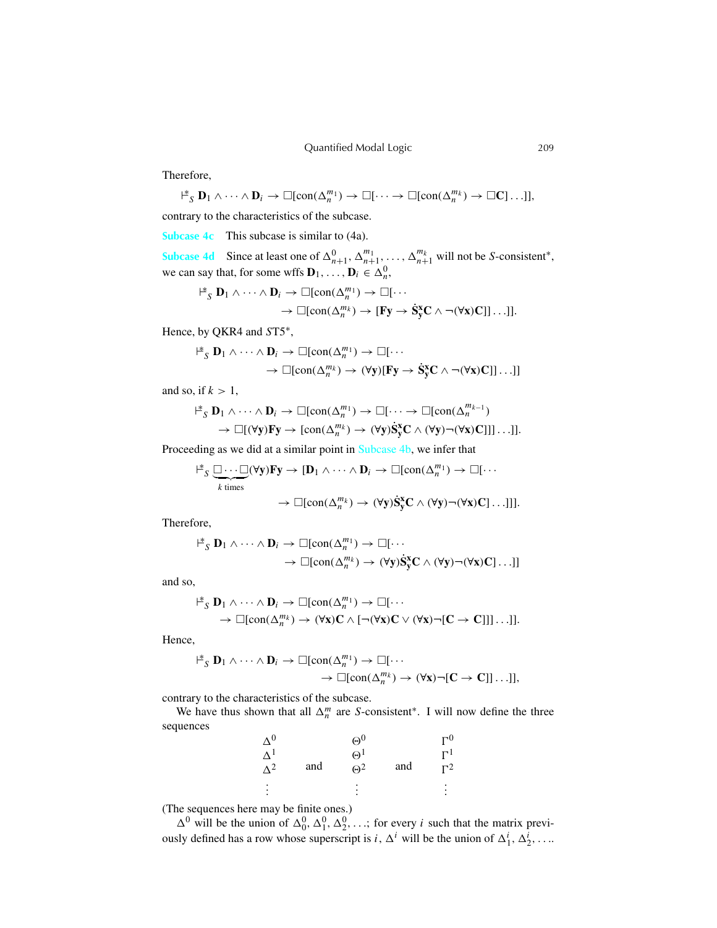Quantified Modal Logic 209

Therefore,

 $\vdash_S^* \mathbf{D}_1 \wedge \cdots \wedge \mathbf{D}_i \rightarrow \Box[\text{con}(\Delta_n^{m_1}) \rightarrow \Box[\cdots \rightarrow \Box[\text{con}(\Delta_n^{m_k}) \rightarrow \Box \mathbf{C}] \dots]],$ 

contrary to the characteristics of the subcase.

**Subcase 4c** This subcase is similar to (4a).

Subcase 4d Since at least one of  $\Delta_{n+1}^0$ ,  $\Delta_{n+1}^{m_1}$ , ...,  $\Delta_{n+1}^{m_k}$  will not be *S*-consistent<sup>\*</sup>, we can say that, for some wffs  $\mathbf{D}_1, \ldots, \mathbf{D}_i \in \Delta_n^0$ ,

$$
\vdash_S^* \mathbf{D}_1 \wedge \cdots \wedge \mathbf{D}_i \rightarrow \Box[\text{con}(\Delta_n^{m_1}) \rightarrow \Box[\cdots \rightarrow \Box[\text{con}(\Delta_n^{m_k}) \rightarrow [\mathbf{F}\mathbf{y} \rightarrow \dot{\mathbf{S}}\mathbf{y}^*\mathbf{C} \wedge \neg(\forall \mathbf{x})\mathbf{C}]]\dots]].
$$

Hence, by QKR4 and  $ST5^*$ ,

$$
\vdash_{S}^{*} \mathbf{D}_{1} \wedge \cdots \wedge \mathbf{D}_{i} \rightarrow \Box[\text{con}(\Delta_{n}^{m_{1}}) \rightarrow \Box[\cdots
$$

$$
\rightarrow \Box[\text{con}(\Delta_{n}^{m_{k}}) \rightarrow (\forall \mathbf{y})[\mathbf{F}\mathbf{y} \rightarrow \dot{\mathbf{S}}_{\mathbf{y}}^{\mathbf{x}}\mathbf{C} \wedge \neg(\forall \mathbf{x})\mathbf{C}]]\dots]
$$

and so, if  $k > 1$ ,

$$
\vdash_S^* \mathbf{D}_1 \wedge \cdots \wedge \mathbf{D}_i \to \Box[\text{con}(\Delta_n^{m_1}) \to \Box[\cdots \to \Box[\text{con}(\Delta_n^{m_{k-1}})]
$$
  

$$
\to \Box[(\forall \mathbf{y}) \mathbf{F} \mathbf{y} \to [\text{con}(\Delta_n^{m_k}) \to (\forall \mathbf{y}) \dot{\mathbf{S}}^{\mathbf{x}} \mathbf{C} \wedge (\forall \mathbf{y}) \neg (\forall \mathbf{x}) \mathbf{C}]]] \dots]]
$$

Proceeding as we did at a similar point in Subcase 4b, we infer that

$$
\downarrow^*_{S} \underbrace{\Box \cdots \Box}_{k \text{ times}} (\forall y) \mathbf{F} y \to [\mathbf{D}_1 \wedge \cdots \wedge \mathbf{D}_i \to \Box[\text{con}(\Delta_n^{m_1}) \to \Box[\cdots
$$

$$
\to \Box[\text{con}(\Delta_n^{m_k}) \to (\forall y) \dot{\mathbf{S}}^x_{\mathbf{y}} \mathbf{C} \wedge (\forall y) \neg (\forall x) \mathbf{C}] \dots]]].
$$

Therefore,

$$
\vdash_{S}^{*} \mathbf{D}_{1} \wedge \cdots \wedge \mathbf{D}_{i} \rightarrow \Box[\text{con}(\Delta_{n}^{m_{1}}) \rightarrow \Box[\cdots
$$

$$
\rightarrow \Box[\text{con}(\Delta_{n}^{m_{k}}) \rightarrow (\forall y)\dot{S}_{y}^{x}\mathbf{C} \wedge (\forall y)\neg(\forall x)\mathbf{C}] \dots]]
$$

and so,

$$
\vdash_{S}^{*} \mathbf{D}_{1} \wedge \cdots \wedge \mathbf{D}_{i} \rightarrow \Box[\text{con}(\Delta_{n}^{m_{1}}) \rightarrow \Box[\cdots
$$

$$
\rightarrow \Box[\text{con}(\Delta_{n}^{m_{k}}) \rightarrow (\forall \mathbf{x})\mathbf{C} \wedge [\neg(\forall \mathbf{x})\mathbf{C} \vee (\forall \mathbf{x})\neg[\mathbf{C} \rightarrow \mathbf{C}]]]\dots]].
$$

Hence,

$$
\vdash_S^* \mathbf{D}_1 \wedge \cdots \wedge \mathbf{D}_i \rightarrow \Box[\text{con}(\Delta_n^{m_1}) \rightarrow \Box[\cdots
$$

$$
\rightarrow \Box[\text{con}(\Delta_n^{m_k}) \rightarrow (\forall \mathbf{x})\neg[\mathbf{C} \rightarrow \mathbf{C}]]\dots]],
$$

contrary to the characteristics of the subcase.

We have thus shown that all  $\Delta_n^m$  are *S*-consistent<sup>\*</sup>. I will now define the three sequences

| $\Delta^0$                |     | $\Theta^0$  |     | $\Gamma^0$ |
|---------------------------|-----|-------------|-----|------------|
| $\Delta^1$                |     | $\Theta^1$  |     | $\Gamma^1$ |
| $\Delta^2$                | and | $\Theta^2$  | and | $\Gamma^2$ |
| ٠<br>$\ddot{\phantom{a}}$ |     | ٠<br>٠<br>٠ |     | ٠<br>٠     |

(The sequences here may be finite ones.)

 $\Delta^0$  will be the union of  $\Delta_0^0$ ,  $\Delta_1^0$ ,  $\Delta_2^0$ , ...; for every *i* such that the matrix previously defined has a row whose superscript is *i*,  $\Delta^i$  will be the union of  $\Delta_1^i$ ,  $\Delta_2^i$ , ...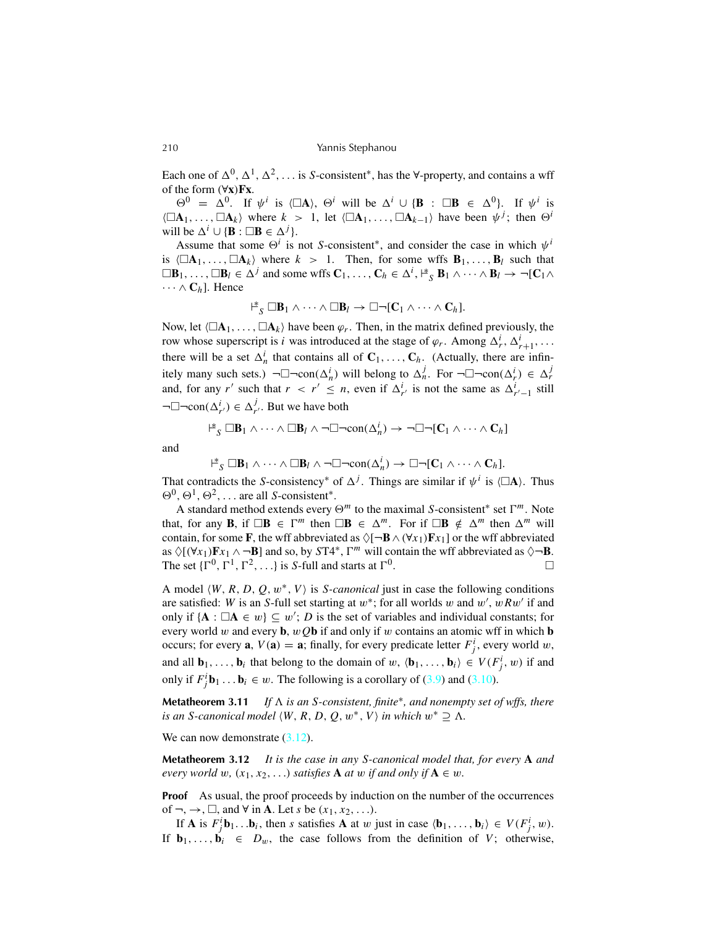Each one of  $\Delta^0$ ,  $\Delta^1$ ,  $\Delta^2$ , ... is *S*-consistent<sup>\*</sup>, has the ∀-property, and contains a wff of the form (∀**x**)**Fx**.

 $\Theta^0 = \Delta^0$ . If  $\psi^i$  is  $\langle \Box \mathbf{A} \rangle$ ,  $\Theta^i$  will be  $\Delta^i \cup {\mathbf{B}} \subset \Box \mathbf{B} \in \Delta^0$ . If  $\psi^i$  is  $\langle \Box A_1, \ldots, \Box A_k \rangle$  where  $k > 1$ , let  $\langle \Box A_1, \ldots, \Box A_{k-1} \rangle$  have been  $\psi^j$ ; then  $\Theta^i$ will be  $\Delta^i \cup {\bf \{B : B \in \Delta^j\}}$ .

Assume that some  $\Theta^i$  is not *S*-consistent<sup>\*</sup>, and consider the case in which  $\psi^i$ is  $\langle \Box A_1, \ldots, \Box A_k \rangle$  where  $k > 1$ . Then, for some wffs  $B_1, \ldots, B_l$  such that  $\Box$ **B**<sub>1</sub>, ...,  $\Box$ **B**<sub>*l*</sub> ∈  $\Delta$ <sup>*j*</sup> and some wffs **C**<sub>1</sub>, ..., **C**<sub>*h*</sub> ∈  $\Delta$ <sup>*i*</sup>,  $\vdash$ <sup>\*</sup><sub>S</sub></sub> **B**<sub>1</sub> ∧ · · · · ∧ **B**<sub>*l*</sub> →  $\neg$  [**C**<sub>1</sub> ∧  $\cdots$  ∧  $\mathbf{C}_h$ ]. Hence

$$
\vdash_S \Box B_1 \wedge \cdots \wedge \Box B_l \rightarrow \Box \neg [C_1 \wedge \cdots \wedge C_h].
$$

Now, let  $\langle \Box A_1, \ldots, \Box A_k \rangle$  have been  $\varphi_r$ . Then, in the matrix defined previously, the row whose superscript is *i* was introduced at the stage of  $\varphi_r$ . Among  $\Delta_r^i$ ,  $\Delta_{r+1}^i$ , ... there will be a set  $\Delta_n^i$  that contains all of  $\mathbf{C}_1, \ldots, \mathbf{C}_h$ . (Actually, there are infinitely many such sets.)  $\neg\Box\neg\text{con}(\Delta_n^i)$  will belong to  $\Delta_n^j$ . For  $\neg\Box\neg\text{con}(\Delta_r^i) \in \Delta_r^j$ and, for any *r'* such that  $r < r' \le n$ , even if  $\Delta_{r'}^i$  is not the same as  $\Delta_{r'-1}^i$  still  $\neg \Box \neg \text{con}(\Delta^i_{r'}) \in \Delta^j_r$  $\int r$ . But we have both

$$
\nvdash_S \Box \mathbf{B}_1 \wedge \cdots \wedge \Box \mathbf{B}_l \wedge \neg \Box \neg \mathrm{con}(\Delta_n^i) \rightarrow \neg \Box \neg [\mathbf{C}_1 \wedge \cdots \wedge \mathbf{C}_h]
$$

and

$$
\vdash_{S}^{\ast} \Box \mathbf{B}_1 \wedge \cdots \wedge \Box \mathbf{B}_l \wedge \neg \Box \neg \mathrm{con}(\Delta_n^i) \rightarrow \Box \neg [\mathbf{C}_1 \wedge \cdots \wedge \mathbf{C}_h].
$$

That contradicts the *S*-consistency<sup>\*</sup> of  $\Delta^{j}$ . Things are similar if  $\psi^{i}$  is  $\langle \Box \mathbf{A} \rangle$ . Thus  $\Theta^0$ ,  $\Theta^1$ ,  $\Theta^2$ , ... are all *S*-consistent<sup>\*</sup>.

A standard method extends every  $\Theta^m$  to the maximal *S*-consistent<sup>\*</sup> set  $\Gamma^m$ . Note that, for any **B**, if  $\Box \mathbf{B} \in \Gamma^m$  then  $\Box \mathbf{B} \in \Delta^m$ . For if  $\Box \mathbf{B} \notin \Delta^m$  then  $\Delta^m$  will contain, for some **F**, the wff abbreviated as  $\Diamond$ [ $\neg$ **B** $\land$  ( $\forall$ *x*<sub>1</sub>)**F***x*<sub>1</sub>] or the wff abbreviated as  $\Diamond$ [( $\forall$ *x*<sub>1</sub>)**F***x*<sub>1</sub>  $\land$   $\neg$ **B**] and so, by *S*T4<sup>\*</sup>,  $\Gamma$ <sup>*m*</sup> will contain the wff abbreviated as  $\Diamond \neg$ **B**. The set  $\{\Gamma^0, \Gamma^1, \Gamma^2, \ldots\}$  is *S*-full and starts at  $\Gamma^0$ . — Первый процесс в поставке в собстании в собстании в собстании в собстании в собстании в собстании в собста<br>В собстании в собстании в собстании в собстании в собстании в собстании в собстании в собстании в собстании в

A model  $\langle W, R, D, Q, w^*, V \rangle$  is *S-canonical* just in case the following conditions are satisfied: W is an *S*-full set starting at  $w^*$ ; for all worlds w and  $w'$ ,  $wRw'$  if and only if  ${A : \Box A \in w} \subseteq w'$ ; *D* is the set of variables and individual constants; for every world w and every  $\mathbf{b}$ ,  $wQ\mathbf{b}$  if and only if w contains an atomic wff in which  $\mathbf{b}$ occurs; for every **a**,  $V(\mathbf{a}) = \mathbf{a}$ ; finally, for every predicate letter  $F_j^i$ , every world w, and all  $\mathbf{b}_1, \ldots, \mathbf{b}_i$  that belong to the domain of w,  $\langle \mathbf{b}_1, \ldots, \mathbf{b}_i \rangle \in V(F_j^i, w)$  if and only if  $F_j^i$ **b**<sub>1</sub> . . . **b**<sub>*i*</sub>  $\in$  *w*. The following is a corollary of [\(3.9\)](#page-11-0) and [\(3.10\)](#page-12-0).

**Metatheorem 3.11** *If*  $\Lambda$  *is an S-consistent, finite<sup>∗</sup>, and nonempty set of wffs, there is* an *S*-canonical model  $\langle W, R, D, Q, w^*, V \rangle$  in which  $w^* \supseteq \Lambda$ .

We can now demonstrate  $(3.12)$ .

**Metatheorem 3.12** *It is the case in any S-canonical model that, for every* **A** *and every world* w,  $(x_1, x_2, \ldots)$  *satisfies* **A** *at* w *if and only if*  $A \in \mathbb{w}$ .

**Proof** As usual, the proof proceeds by induction on the number of the occurrences of  $\neg, \rightarrow, \Box$ , and  $\forall$  in **A**. Let *s* be  $(x_1, x_2, \ldots)$ .

If **A** is  $F_j^i$ **b**<sub>1</sub>...**b***i*, then *s* satisfies **A** at *w* just in case  $\langle$ **b**<sub>1</sub>,...,**b**<sub>*i*</sub> $\rangle \in V(F_j^i, w)$ . If  $\mathbf{b}_1, \ldots, \mathbf{b}_i \in D_w$ , the case follows from the definition of *V*; otherwise,

<span id="page-17-0"></span>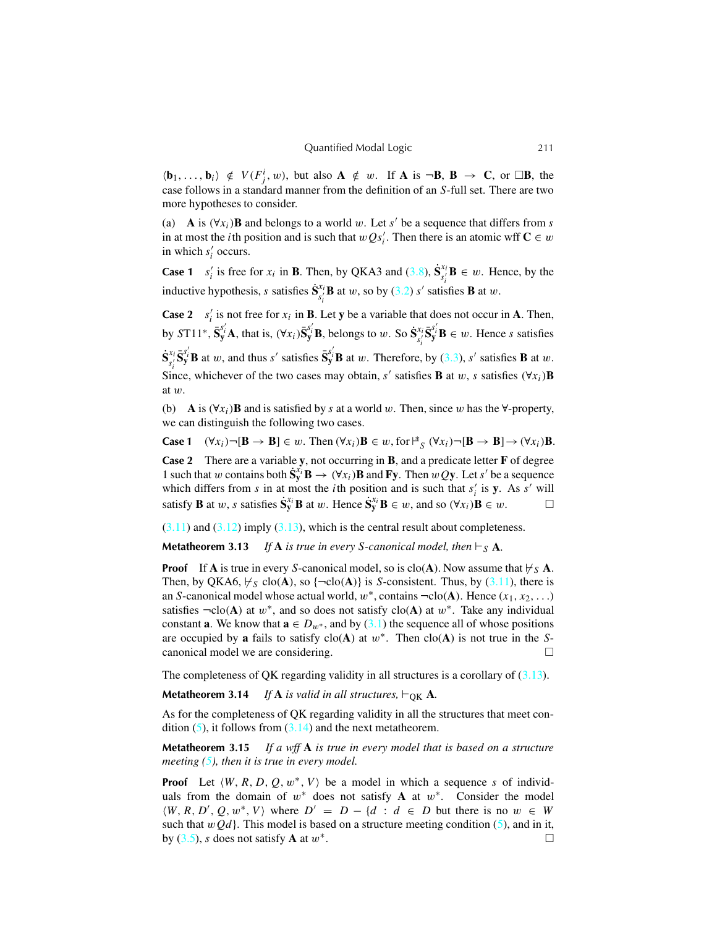<span id="page-18-0"></span> $\langle \mathbf{b}_1, \ldots, \mathbf{b}_i \rangle \notin V(F_j^i, w)$ , but also  $\mathbf{A} \notin w$ . If  $\mathbf{A}$  is  $\neg \mathbf{B}$ ,  $\mathbf{B} \to \mathbf{C}$ , or  $\Box \mathbf{B}$ , the case follows in a standard manner from the definition of an *S*-full set. There are two more hypotheses to consider.

(a) **A** is  $(\forall x_i)$ **B** and belongs to a world w. Let *s'* be a sequence that differs from *s* in at most the *i*th position and is such that  $wQs'_{i}$ . Then there is an atomic wff  $C \in w$ in which  $s_i$  occurs.

**Case 1** *s*<sup>*i*</sup><sub>*i*</sub> is free for  $x_i$  in **B**. Then, by QKA3 and [\(3.8\)](#page-11-0),  $\dot{S}^{x_i}_{s'_i}$  $\mathbf{B}_{s_i}^{x_i}$ **B**  $\in$  *w*. Hence, by the inductive hypothesis, *s* satisfies  $\dot{\mathbf{S}}_s^{x_i} \mathbf{B}$  at *w*, so by (3.2) *s'* satis  $s_i^{\{x_i\}}$ **B** at w, so by [\(3.2\)](#page-8-0) *s*' satisfies **B** at w.

**Case 2** *s*<sup> $\prime$ </sup> is not free for *x*<sub>*i*</sub> in **B**. Let **y** be a variable that does not occur in **A**. Then, by *S*T11<sup>\*</sup>,  $\bar{S}_{\mathbf{y}}^{s_i'}$ **A**, that is,  $(\forall x_i) \bar{S}_{\mathbf{y}}^{s_i'}$ **B**, belongs to w. So  $\dot{S}_{s_i'}^{x_i}$  $\int_{s_i'}^{x_i} \bar{\mathbf{S}}_y^{s_i'} \mathbf{B} \in w$ . Hence *s* satisfies  $\dot{\mathbf{S}}^{x_i}_{s'}$  $\mathbf{S}_{\mathbf{y}}^{(i)}\mathbf{B}$  at w, and thus *s*' satisfies  $\overline{\mathbf{S}}_{\mathbf{y}}^{s'_i}\mathbf{B}$  at w. Therefore, by [\(3.3\)](#page-8-0), *s*' satisfies **B** at w. Since, whichever of the two cases may obtain, *s'* satisfies **B** at w, *s* satisfies ( $\forall x_i$ )**B** at w.

(b) **A** is  $(\forall x_i)$ **B** and is satisfied by *s* at a world w. Then, since w has the  $\forall$ -property, we can distinguish the following two cases.

**Case 1**  $(\forall x_i) \neg [\mathbf{B} \rightarrow \mathbf{B}] \in w$ . Then  $(\forall x_i) \mathbf{B} \in w$ , for  $\vdash^*_{S} (\forall x_i) \neg [\mathbf{B} \rightarrow \mathbf{B}] \rightarrow (\forall x_i) \mathbf{B}$ .

**Case 2** There are a variable **y**, not occurring in **B**, and a predicate letter **F** of degree 1 such that w contains both  $\dot{S}_y^{x_i}B \to (\forall x_i)B$  and Fy. Then  $wQy$ . Let *s'* be a sequence which differs from *s* in at most the *i*th position and is such that  $s_i$  is **y**. As  $s'$  will satisfy **B** at *w*, *s* satisfies  $\dot{\mathbf{S}}_{\mathbf{y}}^{x_i}$ **B** at *w*. Hence  $\dot{\mathbf{S}}_{\mathbf{y}}^{x_i}$ **B** ∈ *w*, and so  $(\forall x_i)$ **B** ∈ *w*. □

 $(3.11)$  and  $(3.12)$  imply  $(3.13)$ , which is the central result about completeness.

**Metatheorem** 3.13 *If* **A** *is true in every S*-canonical model, then  $\vdash_S$  **A**.

**Proof** If **A** is true in every *S*-canonical model, so is clo(**A**). Now assume that  $\nvdash_S$  **A**. Then, by QKA6,  $\nvdash_S$  clo(**A**), so  $\{\neg \text{clo}(A)\}$  is *S*-consistent. Thus, by [\(3.11\)](#page-17-0), there is an *S*-canonical model whose actual world,  $w^*$ , contains  $\neg \text{clo}(A)$ . Hence  $(x_1, x_2, \ldots)$ satisfies  $\neg$ clo(**A**) at w<sup>\*</sup>, and so does not satisfy clo(**A**) at w<sup>\*</sup>. Take any individual constant **a**. We know that  $\mathbf{a} \in D_{w^*}$ , and by [\(3.1\)](#page-8-0) the sequence all of whose positions are occupied by **a** fails to satisfy clo(**A**) at w<sup>∗</sup> . Then clo(**A**) is not true in the *S*canonical model we are considering.

The completeness of QK regarding validity in all structures is a corollary of  $(3.13)$ .

**Metatheorem** 3.14 *If* **A** *is valid in all structures,*  $\vdash_{\text{QK}} A$ *.* 

As for the completeness of QK regarding validity in all the structures that meet condition  $(5)$ , it follows from  $(3.14)$  and the next metatheorem.

**Metatheorem 3.15** *If a wff* **A** *is true in every model that is based on a structure meeting [\(5\)](#page-5-0), then it is true in every model.*

**Proof** Let  $\langle W, R, D, Q, w^*, V \rangle$  be a model in which a sequence *s* of individuals from the domain of  $w^*$  does not satisfy **A** at  $w^*$ . Consider the model  $\langle W, R, D', Q, w^*, V \rangle$  where  $D' = D - \{d : d \in D \text{ but there is no } w \in W\}$ such that  $wQd$ . This model is based on a structure meeting condition  $(5)$ , and in it, by  $(3.5)$ , *s* does not satisfy **A** at  $w^*$ . .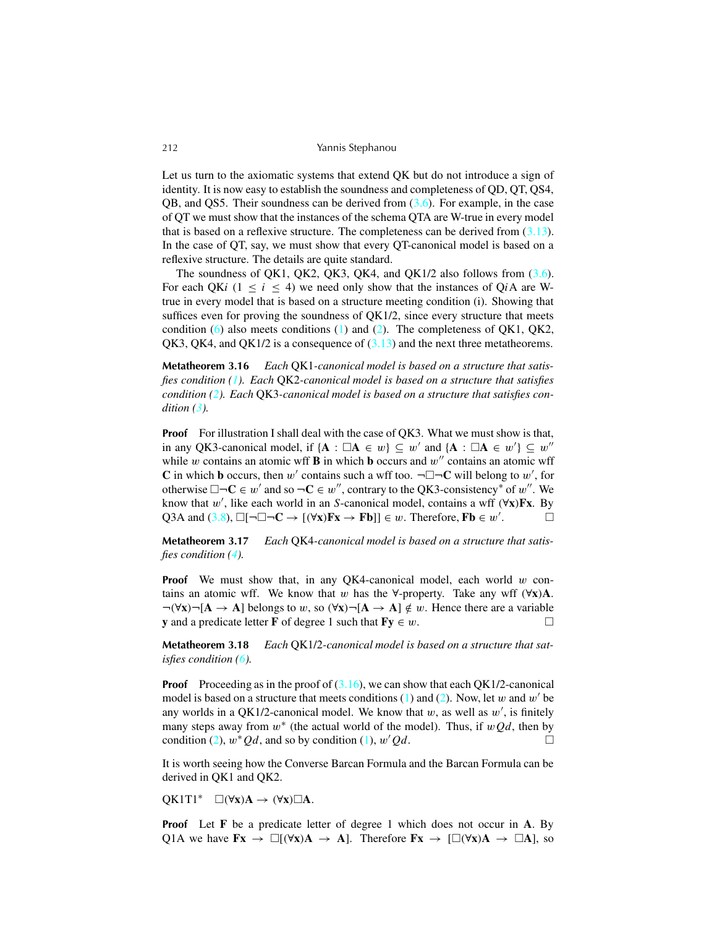Let us turn to the axiomatic systems that extend QK but do not introduce a sign of identity. It is now easy to establish the soundness and completeness of QD, QT, QS4, QB, and QS5. Their soundness can be derived from  $(3.6)$ . For example, in the case of QT we must show that the instances of the schema QTA are W-true in every model that is based on a reflexive structure. The completeness can be derived from  $(3.13)$ . In the case of QT, say, we must show that every QT-canonical model is based on a reflexive structure. The details are quite standard.

The soundness of QK1, QK2, QK3, QK4, and QK1/2 also follows from  $(3.6)$ . For each QK*i* ( $1 \le i \le 4$ ) we need only show that the instances of Q*i*A are Wtrue in every model that is based on a structure meeting condition (i). Showing that suffices even for proving the soundness of QK1/2, since every structure that meets condition  $(6)$  also meets conditions  $(1)$  and  $(2)$ . The completeness of QK1, QK2,  $QK3$ ,  $QK4$ , and  $QK1/2$  is a consequence of  $(3.13)$  and the next three metatheorems.

**Metatheorem 3.16** *Each* QK1*-canonical model is based on a structure that satisfies condition [\(1\)](#page-5-0). Each* QK2*-canonical model is based on a structure that satisfies condition [\(2\)](#page-5-0). Each* QK3*-canonical model is based on a structure that satisfies condition [\(3\)](#page-5-0).*

**Proof** For illustration I shall deal with the case of QK3. What we must show is that, in any QK3-canonical model, if  ${A : \Box A \in w} \subseteq w'$  and  ${A : \Box A \in w'} \subseteq w''$ while w contains an atomic wff **B** in which **b** occurs and  $w''$  contains an atomic wff **C** in which **b** occurs, then w' contains such a wff too.  $\neg \Box \neg C$  will belong to w', for otherwise  $\Box\neg C \in w'$  and so  $\neg C \in w''$ , contrary to the QK3-consistency<sup>\*</sup> of w''. We know that w', like each world in an *S*-canonical model, contains a wff (∀**x**)**Fx**. By Q3A and  $(3.8)$ ,  $\Box[\neg \Box \neg C \rightarrow [(\forall x)Fx \rightarrow Fb]] \in w$ . Therefore, **Fb**  $\in w'$ .  $\Box$ 

**Metatheorem 3.17** *Each* QK4*-canonical model is based on a structure that satisfies condition [\(4\)](#page-5-0).*

**Proof** We must show that, in any QK4-canonical model, each world w contains an atomic wff. We know that w has the  $\forall$ -property. Take any wff  $(\forall x)$ **A**.  $\neg(\forall x) \neg[A \rightarrow A]$  belongs to w, so  $(\forall x) \neg[A \rightarrow A] \notin \mathcal{W}$ . Hence there are a variable **y** and a predicate letter **F** of degree 1 such that  $\mathbf{Fy} \in w$ .

**Metatheorem 3.18** *Each* QK1/2*-canonical model is based on a structure that satisfies condition [\(6\)](#page-5-0).*

**Proof** Proceeding as in the proof of  $(3.16)$ , we can show that each QK1/2-canonical model is based on a structure that meets conditions [\(1\)](#page-5-0) and [\(2\)](#page-5-0). Now, let w and w' be any worlds in a QK1/2-canonical model. We know that  $w$ , as well as  $w'$ , is finitely many steps away from  $w^*$  (the actual world of the model). Thus, if  $wQd$ , then by condition [\(2\)](#page-5-0),  $w^*Qd$ , and so by condition [\(1\)](#page-5-0),  $w'Qd$ .

It is worth seeing how the Converse Barcan Formula and the Barcan Formula can be derived in QK1 and QK2.

 $QK1T1^*$   $\square(\forall x)A \rightarrow (\forall x)\square A$ .

**Proof** Let **F** be a predicate letter of degree 1 which does not occur in **A**. By Q1A we have  $\mathbf{F} \mathbf{x} \to \Box[(\forall \mathbf{x}) \mathbf{A} \to \mathbf{A}]$ . Therefore  $\mathbf{F} \mathbf{x} \to [\Box(\forall \mathbf{x}) \mathbf{A} \to \Box \mathbf{A}]$ , so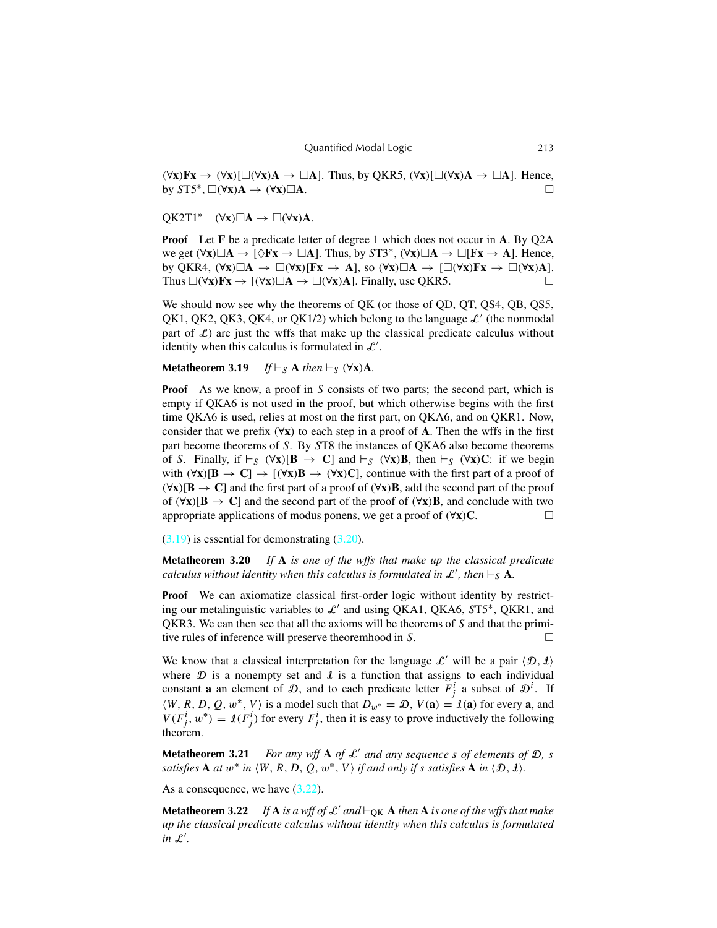<span id="page-20-0"></span> $(\forall x)$ **Fx** →  $(\forall x)[\Box(\forall x)$ **A** →  $\Box$ **A**]. Thus, by QKR5,  $(\forall x)[\Box(\forall x)$ **A** →  $\Box$ **A**]. Hence,  $\Box$ **by**  $ST5^*$ ,  $\Box$ ( $\forall$ **x**) $\Box$ **A**.

 $QK2T1^*$  ( $\forall$ **x**) $\Box$ **A**  $\rightarrow$   $\Box$  $(\forall$ **x**)**A**.

**Proof** Let **F** be a predicate letter of degree 1 which does not occur in **A**. By Q2A we get  $(\forall x) \Box A \rightarrow [\Diamond Fx \rightarrow \Box A]$ . Thus, by *S*T3<sup>\*</sup>,  $(\forall x) \Box A \rightarrow \Box [Fx \rightarrow A]$ . Hence,  $\text{by QKR4, } (\forall x) \Box A \rightarrow \Box (\forall x) [\text{Fx} \rightarrow A], \text{ so } (\forall x) \Box A \rightarrow [\Box (\forall x) \text{Fx} \rightarrow \Box (\forall x)A].$ Thus  $\Box(\forall x)$ **Fx**  $\rightarrow$   $[(\forall x) \Box A \rightarrow \Box(\forall x)A]$ . Finally, use QKR5.

We should now see why the theorems of QK (or those of QD, QT, QS4, QB, QS5, QK1, QK2, QK3, QK4, or QK1/2) which belong to the language  $\mathcal{L}'$  (the nonmodal part of  $\mathcal{L}$ ) are just the wffs that make up the classical predicate calculus without identity when this calculus is formulated in  $\mathcal{L}'$ .

**Metatheorem** 3.19 *If* $\vdash$ <sub>S</sub> **A** *then* $\vdash$ <sub>S</sub> ( $\forall$ **x**)**A**.

**Proof** As we know, a proof in *S* consists of two parts; the second part, which is empty if QKA6 is not used in the proof, but which otherwise begins with the first time QKA6 is used, relies at most on the first part, on QKA6, and on QKR1. Now, consider that we prefix (∀**x**) to each step in a proof of **A**. Then the wffs in the first part become theorems of *S*. By *S*T8 the instances of QKA6 also become theorems of *S*. Finally, if  $\vdash_S (\forall x)[B \rightarrow C]$  and  $\vdash_S (\forall x)B$ , then  $\vdash_S (\forall x)C$ : if we begin with  $(\forall x)[B \rightarrow C] \rightarrow [(\forall x)B \rightarrow (\forall x)C]$ , continue with the first part of a proof of (∀**x**)[**B** → **C**] and the first part of a proof of (∀**x**)**B**, add the second part of the proof of  $(\forall x)[B \rightarrow C]$  and the second part of the proof of  $(\forall x)B$ , and conclude with two appropriate applications of modus ponens, we get a proof of  $(\forall x)C$ .

 $(3.19)$  is essential for demonstrating  $(3.20)$ .

**Metatheorem 3.20** *If* **A** *is one of the wffs that make up the classical predicate calculus* without identity when this calculus is formulated in  $\mathcal{L}'$ , then  $\vdash_S \mathbf{A}$ .

**Proof** We can axiomatize classical first-order logic without identity by restricting our metalinguistic variables to L' and using QKA1, QKA6, ST5<sup>∗</sup>, QKR1, and QKR3. We can then see that all the axioms will be theorems of *S* and that the primitive rules of inference will preserve theoremhood in *S*.

We know that a classical interpretation for the language  $\mathcal{L}'$  will be a pair  $\langle \mathcal{D}, \mathcal{I} \rangle$ where  $D$  is a nonempty set and  $I$  is a function that assigns to each individual constant **a** an element of  $\mathcal{D}$ , and to each predicate letter  $F_j^i$  a subset of  $\mathcal{D}^i$ . If  $\langle W, R, D, Q, w^*, V \rangle$  is a model such that  $D_{w^*} = \mathcal{D}, V(\mathbf{a}) = I(\mathbf{a})$  for every **a**, and  $V(F_j^i, w^*) = \mathcal{I}(F_j^i)$  for every  $F_j^i$ , then it is easy to prove inductively the following theorem.

**Metatheorem 3.21** *For any wff A of L' and any sequence s of elements of D, s satisfies* **A** *at*  $w^*$  *in*  $\langle W, R, D, Q, w^*, V \rangle$  *if and only if s satisfies* **A** *in*  $\langle D, I \rangle$ *.* 

As a consequence, we have  $(3.22)$ .

**Metatheorem** 3.22 If **A** *is a wff of*  $\mathcal{L}'$  *and*  $\vdash_{\text{OK}}$  **A** *then* **A** *is one of the wffs that make up the classical predicate calculus without identity when this calculus is formulated*  $\int$ *in*  $\mathcal{L}'$ .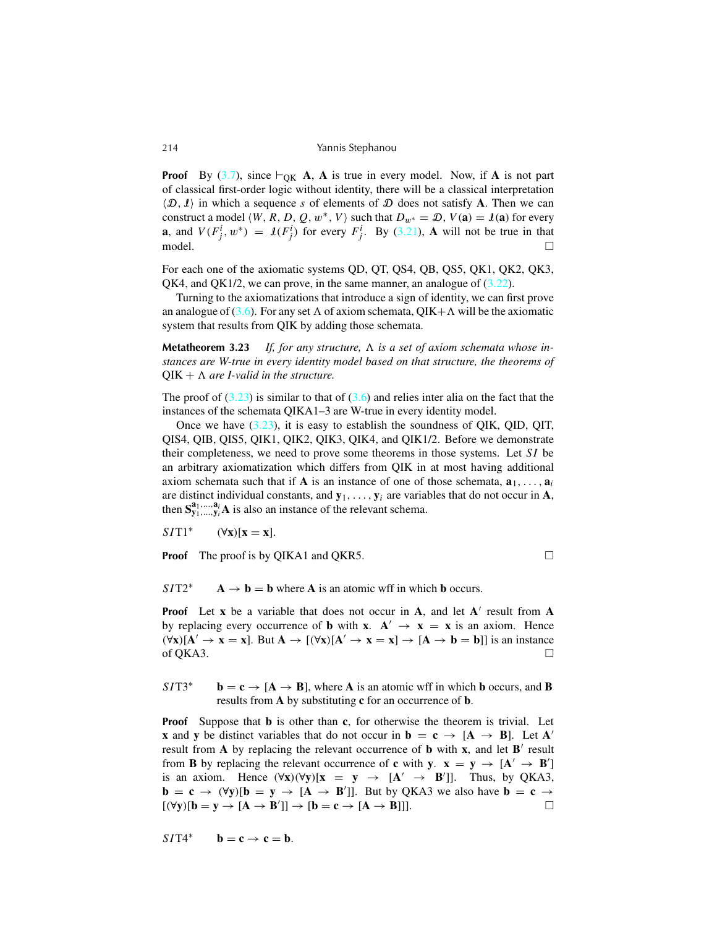**Proof** By [\(3.7\)](#page-9-0), since  $\vdash_{\mathbf{OK}} \mathbf{A}$ , **A** is true in every model. Now, if **A** is not part of classical first-order logic without identity, there will be a classical interpretation  $\langle \mathcal{D}, \mathcal{I} \rangle$  in which a sequence *s* of elements of  $\mathcal{D}$  does not satisfy **A**. Then we can construct a model  $\langle W, R, D, Q, w^*, V \rangle$  such that  $D_{w^*} = \mathcal{D}, V(\mathbf{a}) = \mathcal{I}(\mathbf{a})$  for every **a**, and  $V(F_j^i, w^*) = \mathcal{I}(F_j^i)$  for every  $F_j^i$ . By [\(3.21\)](#page-20-0), **A** will not be true in that  $\Box$  model.  $\Box$ 

For each one of the axiomatic systems QD, QT, QS4, QB, QS5, QK1, QK2, QK3, QK4, and QK1/2, we can prove, in the same manner, an analogue of  $(3.22)$ .

Turning to the axiomatizations that introduce a sign of identity, we can first prove an analogue of [\(3.6\)](#page-8-0). For any set  $\Lambda$  of axiom schemata, QIK+ $\Lambda$  will be the axiomatic system that results from QIK by adding those schemata.

**Metatheorem** 3.23 If, for any structure,  $\Lambda$  is a set of axiom schemata whose in*stances are W-true in every identity model based on that structure, the theorems of*  $QIK + \Lambda$  *are I-valid in the structure.* 

The proof of  $(3.23)$  is similar to that of  $(3.6)$  and relies inter alia on the fact that the instances of the schemata QIKA1–3 are W-true in every identity model.

Once we have  $(3.23)$ , it is easy to establish the soundness of QIK, QID, QIT, QIS4, QIB, QIS5, QIK1, QIK2, QIK3, QIK4, and QIK1/2. Before we demonstrate their completeness, we need to prove some theorems in those systems. Let *SI* be an arbitrary axiomatization which differs from QIK in at most having additional axiom schemata such that if **A** is an instance of one of those schemata,  $\mathbf{a}_1, \ldots, \mathbf{a}_i$ are distinct individual constants, and  $y_1, \ldots, y_i$  are variables that do not occur in A, then  $S_{y_1,...,y_i}^{a_1,...,a_i}$  **A** is also an instance of the relevant schema.

*SI*T1<sup>∗</sup>  $(\forall x)[x = x].$ 

**Proof** The proof is by QIKA1 and QKR5. □

 $SIT2^*$  **A**  $\rightarrow$  **b** = **b** where **A** is an atomic wff in which **b** occurs.

**Proof** Let **x** be a variable that does not occur in **A**, and let **A**<sup> $\prime$ </sup> result from **A** by replacing every occurrence of **b** with **x**.  $A' \rightarrow x = x$  is an axiom. Hence  $(\forall x)[A' \rightarrow x = x]$ . But  $A \rightarrow [(\forall x)[A' \rightarrow x = x] \rightarrow [A \rightarrow b = b]]$  is an instance of QKA3.

*SI*T3<sup>\*</sup> **b** = **c**  $\rightarrow$  [**A**  $\rightarrow$  **B**], where **A** is an atomic wff in which **b** occurs, and **B** results from **A** by substituting **c** for an occurrence of **b**.

**Proof** Suppose that **b** is other than **c**, for otherwise the theorem is trivial. Let **x** and **y** be distinct variables that do not occur in  $\mathbf{b} = \mathbf{c} \rightarrow [\mathbf{A} \rightarrow \mathbf{B}]$ . Let  $\mathbf{A}'$ result from A by replacing the relevant occurrence of **b** with **x**, and let **B**<sup>'</sup> result from **B** by replacing the relevant occurrence of **c** with **y**.  $\mathbf{x} = \mathbf{y} \rightarrow [\mathbf{A}' \rightarrow \mathbf{B}']$ is an axiom. Hence  $(\forall x)(\forall y)[x = y \rightarrow [A' \rightarrow B']]$ . Thus, by QKA3, **b** = **c**  $\rightarrow$   $(\forall y)[b = y \rightarrow [A \rightarrow B']]$ . But by QKA3 we also have  $b = c \rightarrow$  $[(\forall y)[\mathbf{b} = \mathbf{y} \rightarrow [\mathbf{A} \rightarrow \mathbf{B}']] \rightarrow [\mathbf{b} = \mathbf{c} \rightarrow [\mathbf{A} \rightarrow \mathbf{B}]]].$ 

$$
S T T4^* \qquad \mathbf{b} = \mathbf{c} \to \mathbf{c} = \mathbf{b}.
$$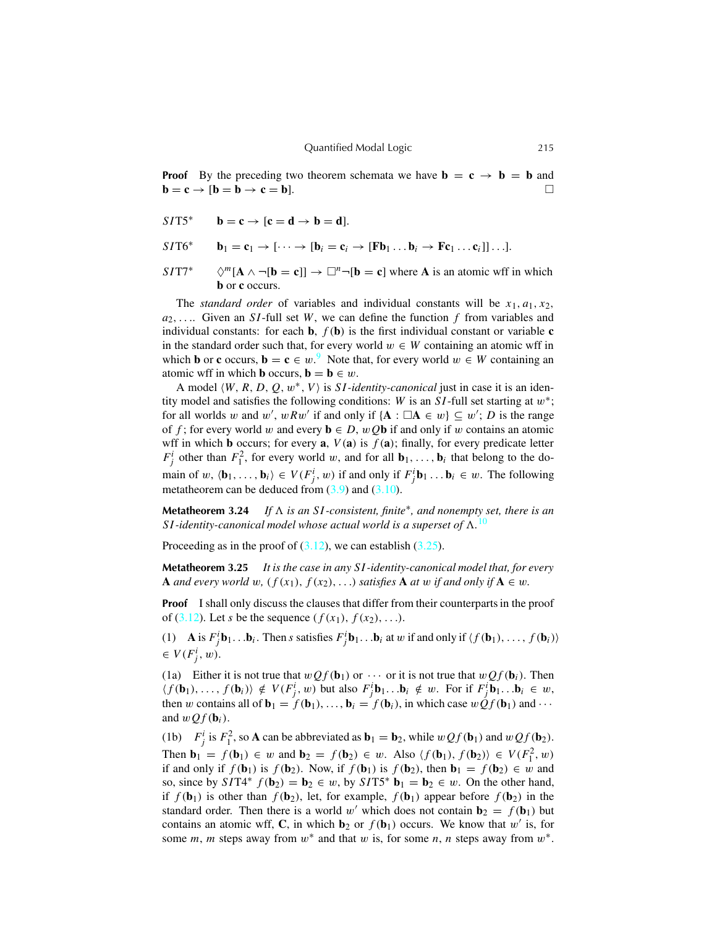<span id="page-22-0"></span>**Proof** By the preceding two theorem schemata we have  $\mathbf{b} = \mathbf{c} \rightarrow \mathbf{b} = \mathbf{b}$  and  $\mathbf{b} = \mathbf{c} \rightarrow [\mathbf{b} = \mathbf{b} \rightarrow \mathbf{c} = \mathbf{b}].$ 

- $SIT5^*$  **b** = **c** → [**c** = **d** → **b** = **d**].
- $SIT6^*$  **b**<sub>1</sub> = **c**<sub>1</sub> → [··· → [**b**<sub>*i*</sub> = **c**<sub>*i*</sub> → [**Fb**<sub>1</sub> . . .**b**<sub>*i*</sub> → **Fc**<sub>1</sub> . . . **c**<sub>*i*</sub>]] . . .].
- $SIT7*$  $\Diamond^{m}[\mathbf{A} \land \neg[\mathbf{b} = \mathbf{c}]] \rightarrow \Box^{n} \neg[\mathbf{b} = \mathbf{c}]$  where **A** is an atomic wff in which **b** or **c** occurs.

The *standard order* of variables and individual constants will be  $x_1, a_1, x_2$ , *a*2, . . .. Given an *SI*-full set *W*, we can define the function *f* from variables and individual constants: for each **b**,  $f(\mathbf{b})$  is the first individual constant or variable **c** in the standard order such that, for every world  $w \in W$  containing an atomic wff in which **b** or **c** occurs, **b** = **c**  $\in$  w.<sup>[9](#page-26-0)</sup> Note that, for every world  $w \in W$  containing an atomic wff in which **b** occurs,  $\mathbf{b} = \mathbf{b} \in w$ .

A model  $\langle W, R, D, Q, w^*, V \rangle$  is *SI-identity-canonical* just in case it is an identity model and satisfies the following conditions: *W* is an *SI*-full set starting at  $w^*$ ; for all worlds w and w', wRw' if and only if  ${A : \Box A \in w} \subseteq w'$ ; *D* is the range of f; for every world w and every  $\mathbf{b} \in D$ , wQ**b** if and only if w contains an atomic wff in which **b** occurs; for every  $\mathbf{a}$ ,  $V(\mathbf{a})$  is  $f(\mathbf{a})$ ; finally, for every predicate letter  $F_j^i$  other than  $F_1^2$ , for every world w, and for all  $\mathbf{b}_1, \ldots, \mathbf{b}_i$  that belong to the domain of w,  $\langle \mathbf{b}_1, \ldots, \mathbf{b}_i \rangle \in V(F_j^i, w)$  if and only if  $F_j^i \mathbf{b}_1 \ldots \mathbf{b}_i \in w$ . The following metatheorem can be deduced from  $(3.9)$  and  $(3.10)$ .

**Metatheorem** 3.24 *If*  $\Lambda$  *is an SI-consistent, finite<sup>\*</sup>, and nonempty set, there <i>is an* SI-identity-canonical model whose actual world is a superset of  $\Lambda$ .<sup>[10](#page-26-0)</sup>

Proceeding as in the proof of  $(3.12)$ , we can establish  $(3.25)$ .

**Metatheorem 3.25** *It is the case in any SI-identity-canonical model that, for every* **A** *and every world*  $w$ *,* ( $f(x_1)$ *,*  $f(x_2)$ *,*  $\ldots$ *) satisfies* **A** *at*  $w$  *if and only if* **A** ∈  $w$ *.* 

**Proof** I shall only discuss the clauses that differ from their counterparts in the proof of [\(3.12\)](#page-17-0). Let *s* be the sequence  $(f(x_1), f(x_2), \ldots)$ .

(1) **A** is  $F_j^i$ **b**<sub>1</sub>...**b**<sub>i</sub>. Then *s* satisfies  $F_j^i$ **b**<sub>1</sub>...**b**<sub>i</sub> at *w* if and only if  $\langle f(\mathbf{b}_1), \ldots, f(\mathbf{b}_i) \rangle$  $\in V(F_j^i, w).$ 

(1a) Either it is not true that  $wQf(\mathbf{b}_1)$  or  $\cdots$  or it is not true that  $wQf(\mathbf{b}_i)$ . Then  $\langle f(\mathbf{b}_1), \ldots, f(\mathbf{b}_i) \rangle \notin V(F_j^i, w)$  but also  $F_j^i \mathbf{b}_1 \ldots \mathbf{b}_i \notin w$ . For if  $F_j^i \mathbf{b}_1 \ldots \mathbf{b}_i \in w$ , then w contains all of  $\mathbf{b}_1 = f(\mathbf{b}_1), \ldots, \mathbf{b}_i = f(\mathbf{b}_i)$ , in which case  $w \circ f(\mathbf{b}_1)$  and  $\cdots$ and  $w O f(\mathbf{b}_i)$ .

(1b)  $F_j^i$  is  $F_1^2$ , so **A** can be abbreviated as  $\mathbf{b}_1 = \mathbf{b}_2$ , while  $wQf(\mathbf{b}_1)$  and  $wQf(\mathbf{b}_2)$ . Then  $\mathbf{b}_1 = f(\mathbf{b}_1) \in w$  and  $\mathbf{b}_2 = f(\mathbf{b}_2) \in w$ . Also  $\langle f(\mathbf{b}_1), f(\mathbf{b}_2) \rangle \in V(F_1^2, w)$ if and only if  $f(\mathbf{b}_1)$  is  $f(\mathbf{b}_2)$ . Now, if  $f(\mathbf{b}_1)$  is  $f(\mathbf{b}_2)$ , then  $\mathbf{b}_1 = f(\mathbf{b}_2) \in \mathbf{w}$  and so, since by  $SIT4^* f(\mathbf{b}_2) = \mathbf{b}_2 \in w$ , by  $SIT5^* \mathbf{b}_1 = \mathbf{b}_2 \in w$ . On the other hand, if  $f(\mathbf{b}_1)$  is other than  $f(\mathbf{b}_2)$ , let, for example,  $f(\mathbf{b}_1)$  appear before  $f(\mathbf{b}_2)$  in the standard order. Then there is a world w' which does not contain  $\mathbf{b}_2 = f(\mathbf{b}_1)$  but contains an atomic wff, **C**, in which  $\mathbf{b}_2$  or  $f(\mathbf{b}_1)$  occurs. We know that w' is, for some  $m$ ,  $m$  steps away from  $w^*$  and that  $w$  is, for some  $n$ ,  $n$  steps away from  $w^*$ .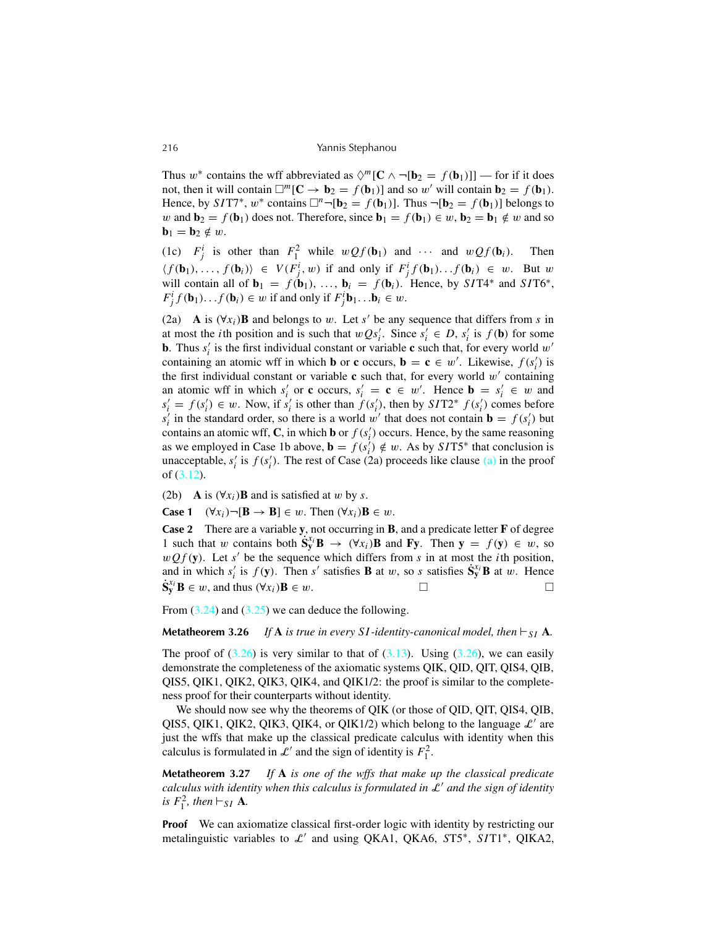Thus w<sup>\*</sup> contains the wff abbreviated as  $\Diamond^m[\mathbf{C} \land \neg[\mathbf{b}_2 = f(\mathbf{b}_1)]]$  — for if it does not, then it will contain  $\Box^m[\mathbf{C} \to \mathbf{b}_2] = f(\mathbf{b}_1)$  and so w' will contain  $\mathbf{b}_2 = f(\mathbf{b}_1)$ . Hence, by *SI*T7<sup>\*</sup>,  $w^*$  contains  $\Box^n \neg [\mathbf{b}_2 = f(\mathbf{b}_1)]$ . Thus  $\neg [\mathbf{b}_2 = f(\mathbf{b}_1)]$  belongs to w and  $\mathbf{b}_2 = f(\mathbf{b}_1)$  does not. Therefore, since  $\mathbf{b}_1 = f(\mathbf{b}_1) \in w$ ,  $\mathbf{b}_2 = \mathbf{b}_1 \notin w$  and so  $\mathbf{b}_1 = \mathbf{b}_2 \notin w$ .

(1c)  $F_j^i$  is other than  $F_1^2$  while  $wQf(\mathbf{b}_1)$  and  $\cdots$  and  $wQf(\mathbf{b}_i)$ . Then  $\langle f(\mathbf{b}_1), \ldots, f(\mathbf{b}_i) \rangle \in V(F_j^i, w)$  if and only if  $F_j^i f(\mathbf{b}_1) \ldots f(\mathbf{b}_i) \in w$ . But w will contain all of  $\mathbf{b}_1 = f(\mathbf{b}_1), \ldots, \mathbf{b}_i = f(\mathbf{b}_i)$ . Hence, by *SI*T4<sup>\*</sup> and *SI*T6<sup>\*</sup>,  $F^i_j f(\mathbf{b}_1) \dots f(\mathbf{b}_i) \in w$  if and only if  $F^i_j \mathbf{b}_1 \dots \mathbf{b}_i \in w$ .

(2a) **A** is  $(\forall x_i)$ **B** and belongs to w. Let *s'* be any sequence that differs from *s* in at most the *i*th position and is such that  $wQs_i'$ . Since  $s_i' \in D$ ,  $s_i'$  is  $f(\mathbf{b})$  for some **b**. Thus  $s_i'$  is the first individual constant or variable **c** such that, for every world w' containing an atomic wff in which **b** or **c** occurs, **b** = **c**  $\in$  w'. Likewise,  $f(s_i)$  is the first individual constant or variable  $\bf{c}$  such that, for every world  $w'$  containing an atomic wff in which  $s_i'$  or **c** occurs,  $s_i' = \mathbf{c} \in w'$ . Hence  $\mathbf{b} = s_i' \in w$  and  $s_i' = f(s_i') \in w$ . Now, if  $s_i'$  is other than  $f(s_i')$ , then by  $SIT2^* f(s_i')$  comes before  $s_i'$  in the standard order, so there is a world w' that does not contain  $\mathbf{b} = f(s_i')$  but contains an atomic wff, **C**, in which **b** or  $f(s_i)$  occurs. Hence, by the same reasoning as we employed in Case 1b above,  $\mathbf{b} = f(s_i^j) \notin w$ . As by *SI*T5<sup>\*</sup> that conclusion is unacceptable,  $s_i'$  is  $f(s_i')$ . The rest of Case (2a) proceeds like clause [\(a\)](#page-18-0) in the proof of [\(3.12\)](#page-17-0).

(2b) **A** is  $(\forall x_i)$ **B** and is satisfied at w by *s*.

**Case 1**  $(\forall x_i) \neg [\mathbf{B} \rightarrow \mathbf{B}] \in w$ . Then  $(\forall x_i) \mathbf{B} \in w$ .

**Case 2** There are a variable **y**, not occurring in **B**, and a predicate letter **F** of degree 1 such that w contains both  $\dot{S}_y^{x_i}B \rightarrow (\forall x_i)B$  and Fy. Then  $y = f(y) \in w$ , so  $wQf(y)$ . Let *s'* be the sequence which differs from *s* in at most the *i*th position, and in which  $s_i'$  is  $f(y)$ . Then  $s'$  satisfies **B** at w, so *s* satisfies  $\dot{S}_y^{x_i}$ **B** at w. Hence  $\mathbf{S}_{\mathbf{y}}^{x_i} \mathbf{B} \in w$ , and thus  $(\forall x_i) \mathbf{B} \in w$ .

From  $(3.24)$  and  $(3.25)$  we can deduce the following.

**Metatheorem 3.26** *If* **A** *is true in every SI-identity-canonical model, then*  $\vdash_{SI}$  **A**.

The proof of  $(3.26)$  is very similar to that of  $(3.13)$ . Using  $(3.26)$ , we can easily demonstrate the completeness of the axiomatic systems QIK, QID, QIT, QIS4, QIB, QIS5, QIK1, QIK2, QIK3, QIK4, and QIK1/2: the proof is similar to the completeness proof for their counterparts without identity.

We should now see why the theorems of QIK (or those of QID, QIT, QIS4, QIB, QIS5, QIK1, QIK2, QIK3, QIK4, or QIK1/2) which belong to the language  $\mathcal{L}'$  are just the wffs that make up the classical predicate calculus with identity when this calculus is formulated in  $\mathcal{L}'$  and the sign of identity is  $F_1^2$ .

**Metatheorem 3.27** *If* **A** *is one of the wffs that make up the classical predicate calculus* with *identity* when this calculus is formulated in  $\mathcal{L}'$  and the sign of identity is  $F_1^2$ , then  $\vdash_{SI}$  **A**.

**Proof** We can axiomatize classical first-order logic with identity by restricting our metalinguistic variables to L' and using QKA1, QKA6, *S*T5<sup>∗</sup>, *SI*T1<sup>∗</sup>, QIKA2,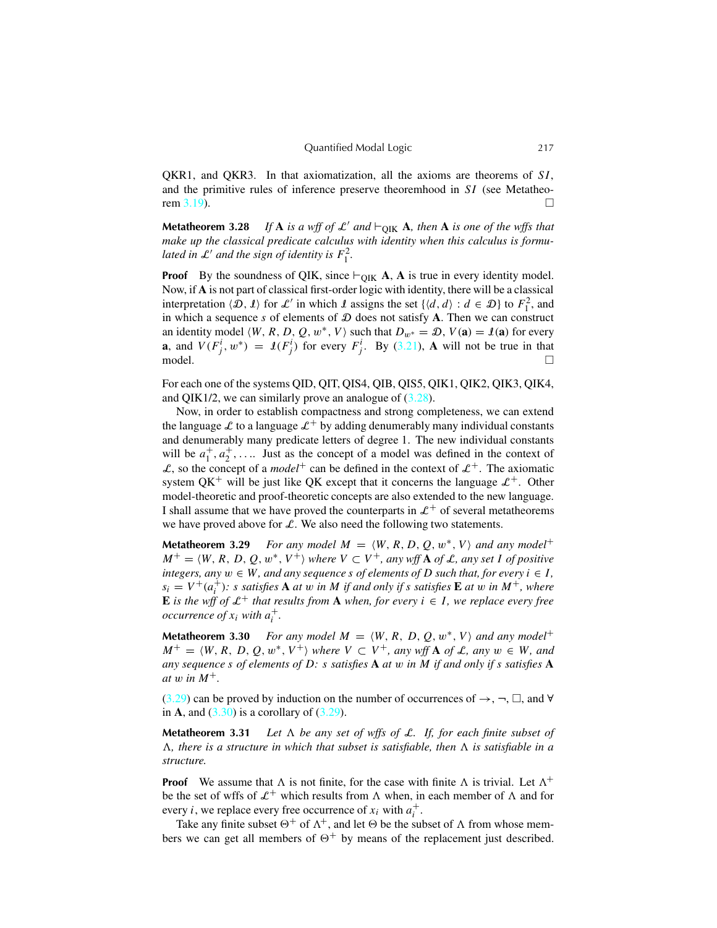<span id="page-24-0"></span>QKR1, and QKR3. In that axiomatization, all the axioms are theorems of *SI*, and the primitive rules of inference preserve theoremhood in *SI* (see Metatheo-rem [3.19\)](#page-20-0).

**Metatheorem** 3.28 If **A** *is a wff of*  $\mathcal{L}'$  *and*  $\vdash_{\text{OIK}}$  **A**, *then* **A** *is one of the wffs that make up the classical predicate calculus with identity when this calculus is formulated* in  $\mathcal{L}'$  *and the sign of identity is*  $F_1^2$ *.* 

**Proof** By the soundness of QIK, since  $\vdash_{\text{QIK}} A$ , **A** is true in every identity model. Now, if **A** is not part of classical first-order logic with identity, there will be a classical interpretation  $\langle \mathcal{D}, \mathcal{I} \rangle$  for  $\mathcal{L}'$  in which  $\mathcal{I}$  assigns the set  $\{\langle d, d \rangle : d \in \mathcal{D}\}\$  to  $F_1^2$ , and in which a sequence  $s$  of elements of  $D$  does not satisfy  $A$ . Then we can construct an identity model  $\langle W, R, D, Q, w^*, V \rangle$  such that  $D_{w^*} = \mathcal{D}, V(\mathbf{a}) = \mathcal{I}(\mathbf{a})$  for every **a**, and  $V(F_j^i, w^*) = \mathcal{I}(F_j^i)$  for every  $F_j^i$ . By [\(3.21\)](#page-20-0), **A** will not be true in that  $\Box$  model.  $\Box$ 

For each one of the systems QID, QIT, QIS4, QIB, QIS5, QIK1, QIK2, QIK3, QIK4, and QIK1/2, we can similarly prove an analogue of  $(3.28)$ .

Now, in order to establish compactness and strong completeness, we can extend the language  $\mathcal L$  to a language  $\mathcal L^+$  by adding denumerably many individual constants and denumerably many predicate letters of degree 1. The new individual constants will be  $a_1^+, a_2^+, \ldots$  Just as the concept of a model was defined in the context of  $\mathcal{L}$ , so the concept of a *model*<sup>+</sup> can be defined in the context of  $\mathcal{L}^+$ . The axiomatic system QK<sup>+</sup> will be just like QK except that it concerns the language  $\mathcal{L}^+$ . Other model-theoretic and proof-theoretic concepts are also extended to the new language. I shall assume that we have proved the counterparts in  $\mathcal{L}^+$  of several metatheorems we have proved above for  $\mathcal{L}$ . We also need the following two statements.

**Metatheorem 3.29** *For any model*  $M = \langle W, R, D, Q, w^*, V \rangle$  *and any model*<sup>+</sup>  $M^+ = \langle W, R, D, Q, w^*, V^+ \rangle$  where  $V \subset V^+$ , any wff **A** of L, any set *I* of positive *integers,*  $any \ w \in W$ *, and any sequence s of elements of D such that, for every*  $i \in I$ *,*  $s_i = V^+(a_i^+)$ : s satisfies **A** at w in *M* if and only if s satisfies **E** at w in  $M^+$ , where **E** *is the wff of*  $\mathcal{L}^+$  *that results from* **A** *when, for every*  $i \in I$ *, we replace every free occurrence of*  $x_i$  *with*  $a_i^+$ .

**Metatheorem 3.30** *For any model*  $M = \langle W, R, D, Q, w^*, V \rangle$  *and any model*<sup>+</sup>  $M^+ = \langle W, R, D, Q, w^*, V^+ \rangle$  where  $V \subset V^+$ , any wff **A** of L, any  $w \in W$ , and any sequence s of elements of D: s satisfies  $A$  at w in M if and only if s satisfies  $A$ *at*  $w$  *in*  $M^+$ .

(3.29) can be proved by induction on the number of occurrences of  $\rightarrow$ ,  $\neg$ ,  $\square$ , and  $\forall$ in **A**, and  $(3.30)$  is a corollary of  $(3.29)$ .

**Metatheorem** 3.31 Let  $\Lambda$  be any set of wffs of L. If, for each finite subset of  $\Lambda$ , *there is a structure in which that subset is satisfiable*, *then*  $\Lambda$  *is satisfiable in a structure.*

**Proof** We assume that  $\Lambda$  is not finite, for the case with finite  $\Lambda$  is trivial. Let  $\Lambda^+$ be the set of wffs of  $\mathcal{L}^+$  which results from  $\Lambda$  when, in each member of  $\Lambda$  and for every *i*, we replace every free occurrence of  $x_i$  with  $a_i^+$ .

Take any finite subset  $\Theta^+$  of  $\Lambda^+$ , and let  $\Theta$  be the subset of  $\Lambda$  from whose members we can get all members of  $\Theta^+$  by means of the replacement just described.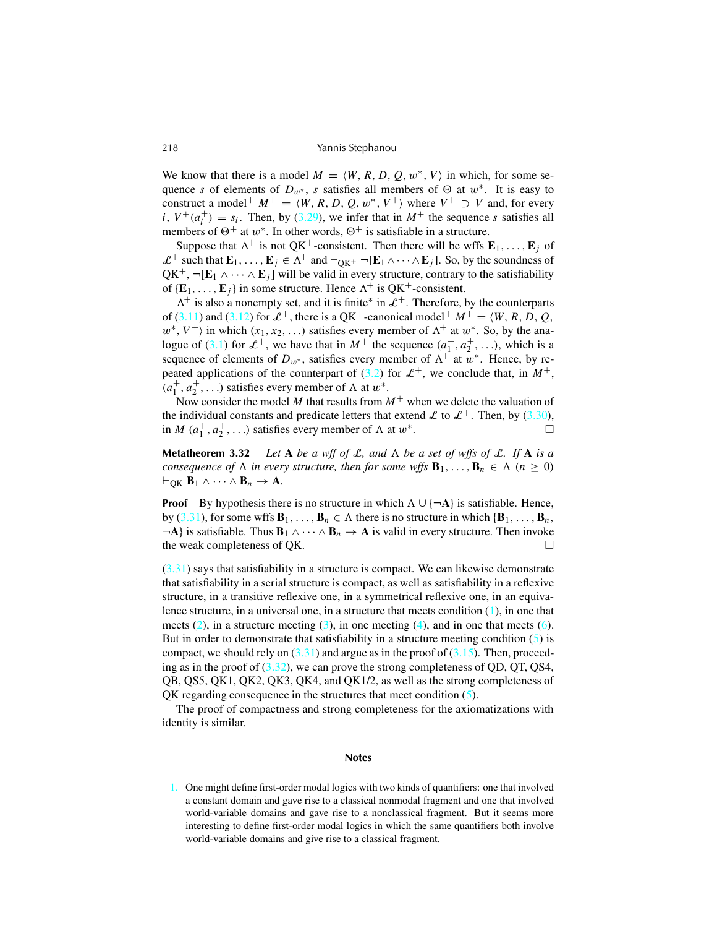<span id="page-25-0"></span>We know that there is a model  $M = \langle W, R, D, Q, w^*, V \rangle$  in which, for some sequence *s* of elements of  $D_{w^*}$ , *s* satisfies all members of  $\Theta$  at  $w^*$ . It is easy to construct a model<sup>+</sup>  $M^+ = \langle W, R, D, Q, w^*, V^+ \rangle$  where  $V^+ \supset V$  and, for every *i*,  $V^+(a_i^+) = s_i$ . Then, by [\(3.29\)](#page-24-0), we infer that in  $M^+$  the sequence *s* satisfies all members of  $\Theta^+$  at  $w^*$ . In other words,  $\Theta^+$  is satisfiable in a structure.

Suppose that  $\Lambda^+$  is not QK<sup>+</sup>-consistent. Then there will be wffs  $\mathbf{E}_1, \ldots, \mathbf{E}_i$  of  $\mathcal{L}^+$  such that  $\mathbf{E}_1, \ldots, \mathbf{E}_j \in \Lambda^+$  and  $\vdash_{\mathbf{OK}^+} \neg[\mathbf{E}_1 \wedge \cdots \wedge \mathbf{E}_j]$ . So, by the soundness of  $QK^+$ ,  $\neg$ [ $E_1 \wedge \cdots \wedge E_j$ ] will be valid in every structure, contrary to the satisfiability of  $\{E_1, \ldots, E_j\}$  in some structure. Hence  $\Lambda^+$  is QK<sup>+</sup>-consistent.

 $\Lambda^+$  is also a nonempty set, and it is finite<sup>\*</sup> in  $\mathcal{L}^+$ . Therefore, by the counterparts of [\(3.11\)](#page-17-0) and [\(3.12\)](#page-17-0) for  $\mathcal{L}^+$ , there is a QK<sup>+</sup>-canonical model<sup>+</sup>  $M^+ = \langle W, R, D, Q, \rangle$  $w^*$ ,  $V^+$  in which  $(x_1, x_2, \ldots)$  satisfies every member of  $\Lambda^+$  at  $w^*$ . So, by the ana-logue of [\(3.1\)](#page-8-0) for  $\mathcal{L}^+$ , we have that in  $M^+$  the sequence  $(a_1^+, a_2^+, \ldots)$ , which is a sequence of elements of  $D_{w^*}$ , satisfies every member of  $\Lambda^+$  at  $w^*$ . Hence, by repeated applications of the counterpart of  $(3.2)$  for  $\mathcal{L}^+$ , we conclude that, in  $M^+$ ,  $(a_1^+, a_2^+, \dots)$  satisfies every member of  $\Lambda$  at  $w^*$ .

Now consider the model M that results from  $M^+$  when we delete the valuation of the individual constants and predicate letters that extend  $\mathcal L$  to  $\mathcal L^+$ . Then, by [\(3.30\)](#page-24-0), in *M* ( $a_1^+, a_2^+, \ldots$ ) satisfies every member of  $\Lambda$  at  $w^*$ . — Первый процесс в постановки программа в серверном производите в серверном производите с производите с прои<br>В серверном производите с производите с производите с производите с производите с производите с производите с

**Metatheorem** 3.32 *Let* **A** *be a wff of L*, *and*  $\Lambda$  *be a set of wffs of L*. *If* **A** *is a consequence of*  $\Lambda$  *in every structure, then for some wffs*  $\mathbf{B}_1, \ldots, \mathbf{B}_n \in \Lambda$  ( $n \geq 0$ )  $\vdash_{\mathsf{OK}} \mathbf{B}_1 \wedge \cdots \wedge \mathbf{B}_n \rightarrow \mathbf{A}.$ 

**Proof** By hypothesis there is no structure in which  $\Lambda \cup \{\neg A\}$  is satisfiable. Hence, by [\(3.31\)](#page-24-0), for some wffs  $\mathbf{B}_1, \ldots, \mathbf{B}_n \in \Lambda$  there is no structure in which  $\{\mathbf{B}_1, \ldots, \mathbf{B}_n\}$  $\neg$ **A**} is satisfiable. Thus  $\mathbf{B}_1 \wedge \cdots \wedge \mathbf{B}_n \rightarrow \mathbf{A}$  is valid in every structure. Then invoke the weak completeness of QK.  $\Box$ 

 $(3.31)$  says that satisfiability in a structure is compact. We can likewise demonstrate that satisfiability in a serial structure is compact, as well as satisfiability in a reflexive structure, in a transitive reflexive one, in a symmetrical reflexive one, in an equivalence structure, in a universal one, in a structure that meets condition [\(1\)](#page-5-0), in one that meets  $(2)$ , in a structure meeting  $(3)$ , in one meeting  $(4)$ , and in one that meets  $(6)$ . But in order to demonstrate that satisfiability in a structure meeting condition [\(5\)](#page-5-0) is compact, we should rely on  $(3.31)$  and argue as in the proof of  $(3.15)$ . Then, proceeding as in the proof of  $(3.32)$ , we can prove the strong completeness of QD, QT, QS4, QB, QS5, QK1, QK2, QK3, QK4, and QK1/2, as well as the strong completeness of QK regarding consequence in the structures that meet condition [\(5\)](#page-5-0).

The proof of compactness and strong completeness for the axiomatizations with identity is similar.

### **Notes**

[1.](#page-2-0) One might define first-order modal logics with two kinds of quantifiers: one that involved a constant domain and gave rise to a classical nonmodal fragment and one that involved world-variable domains and gave rise to a nonclassical fragment. But it seems more interesting to define first-order modal logics in which the same quantifiers both involve world-variable domains and give rise to a classical fragment.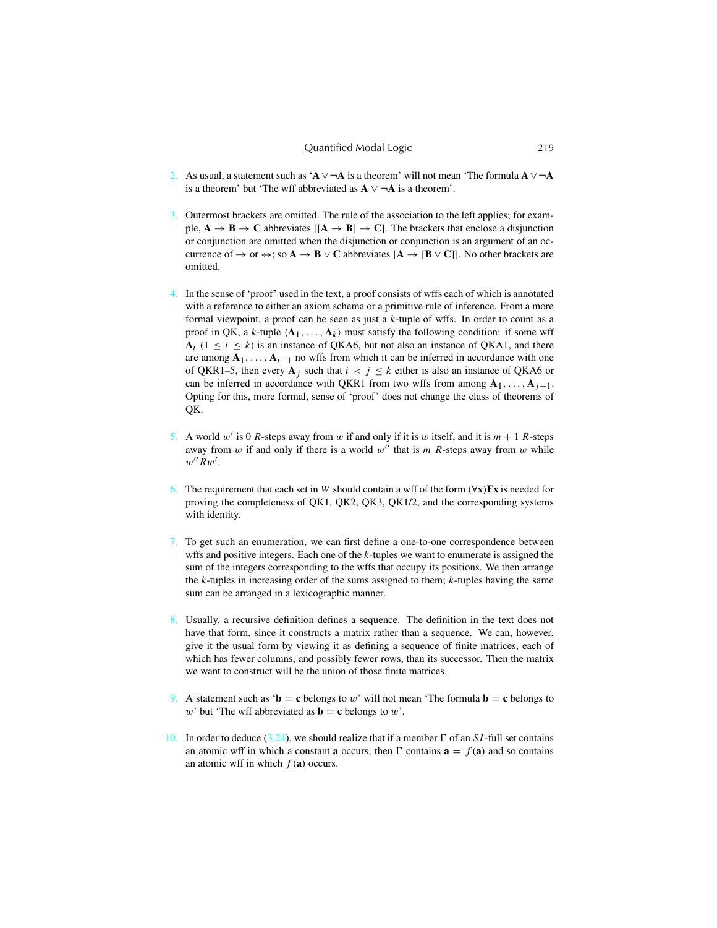## Quantified Modal Logic 219

- <span id="page-26-0"></span>[2.](#page-3-0) As usual, a statement such as  $\mathbf{A} \vee \neg \mathbf{A}$  is a theorem' will not mean 'The formula  $\mathbf{A} \vee \neg \mathbf{A}$ is a theorem' but 'The wff abbreviated as  $A \vee \neg A$  is a theorem'.
- [3.](#page-3-0) Outermost brackets are omitted. The rule of the association to the left applies; for example,  $\mathbf{A} \to \mathbf{B} \to \mathbf{C}$  abbreviates  $[[\mathbf{A} \to \mathbf{B}] \to \mathbf{C}]$ . The brackets that enclose a disjunction or conjunction are omitted when the disjunction or conjunction is an argument of an occurrence of  $\rightarrow$  or  $\leftrightarrow$ ; so  $\mathbf{A} \rightarrow \mathbf{B} \vee \mathbf{C}$  abbreviates  $[\mathbf{A} \rightarrow [\mathbf{B} \vee \mathbf{C}]]$ . No other brackets are omitted.
- [4.](#page-5-0) In the sense of 'proof' used in the text, a proof consists of wffs each of which is annotated with a reference to either an axiom schema or a primitive rule of inference. From a more formal viewpoint, a proof can be seen as just a *k*-tuple of wffs. In order to count as a proof in QK, a *k*-tuple  $\langle A_1, \ldots, A_k \rangle$  must satisfy the following condition: if some wff  $A_i$  ( $1 \le i \le k$ ) is an instance of QKA6, but not also an instance of QKA1, and there are among  $A_1, \ldots, A_{i-1}$  no wffs from which it can be inferred in accordance with one of QKR1–5, then every  $A_j$  such that  $i < j \leq k$  either is also an instance of QKA6 or can be inferred in accordance with QKR1 from two wffs from among  $A_1, \ldots, A_{i-1}$ . Opting for this, more formal, sense of 'proof' does not change the class of theorems of QK.
- [5.](#page-9-0) A world w' is 0 *R*-steps away from w if and only if it is w itself, and it is  $m + 1$  *R*-steps away from w if and only if there is a world  $w''$  that is  $m$  *R*-steps away from w while  $w''Rw'.$
- [6.](#page-11-0) The requirement that each set in *W* should contain a wff of the form (∀**x**)**Fx** is needed for proving the completeness of QK1, QK2, QK3, QK1/2, and the corresponding systems with identity.
- [7.](#page-12-0) To get such an enumeration, we can first define a one-to-one correspondence between wffs and positive integers. Each one of the *k*-tuples we want to enumerate is assigned the sum of the integers corresponding to the wffs that occupy its positions. We then arrange the *k*-tuples in increasing order of the sums assigned to them; *k*-tuples having the same sum can be arranged in a lexicographic manner.
- [8.](#page-14-0) Usually, a recursive definition defines a sequence. The definition in the text does not have that form, since it constructs a matrix rather than a sequence. We can, however, give it the usual form by viewing it as defining a sequence of finite matrices, each of which has fewer columns, and possibly fewer rows, than its successor. Then the matrix we want to construct will be the union of those finite matrices.
- [9.](#page-22-0) A statement such as ' $\mathbf{b} = \mathbf{c}$  belongs to w' will not mean 'The formula  $\mathbf{b} = \mathbf{c}$  belongs to w' but 'The wff abbreviated as  $\mathbf{b} = \mathbf{c}$  belongs to w'.
- [10.](#page-22-0) In order to deduce  $(3.24)$ , we should realize that if a member  $\Gamma$  of an *SI*-full set contains an atomic wff in which a constant **a** occurs, then  $\Gamma$  contains  $\mathbf{a} = f(\mathbf{a})$  and so contains an atomic wff in which *f* (**a**) occurs.